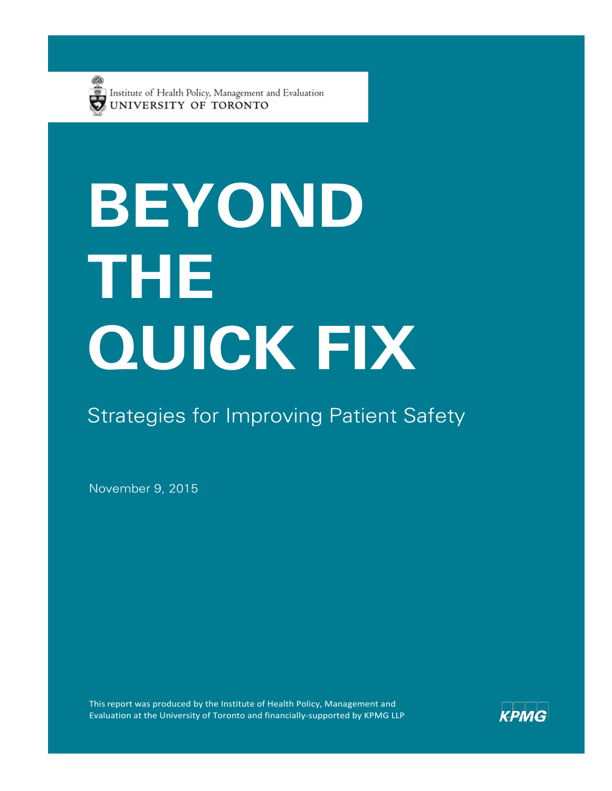

# **BEYOND THE QUICK FIX**

### Strategies for Improving Patient Safety

November 9, 2015

This report was produced by the Institute of Health Policy, Management and Evaluation at the University of Toronto and financially-supported by KPMG LLP

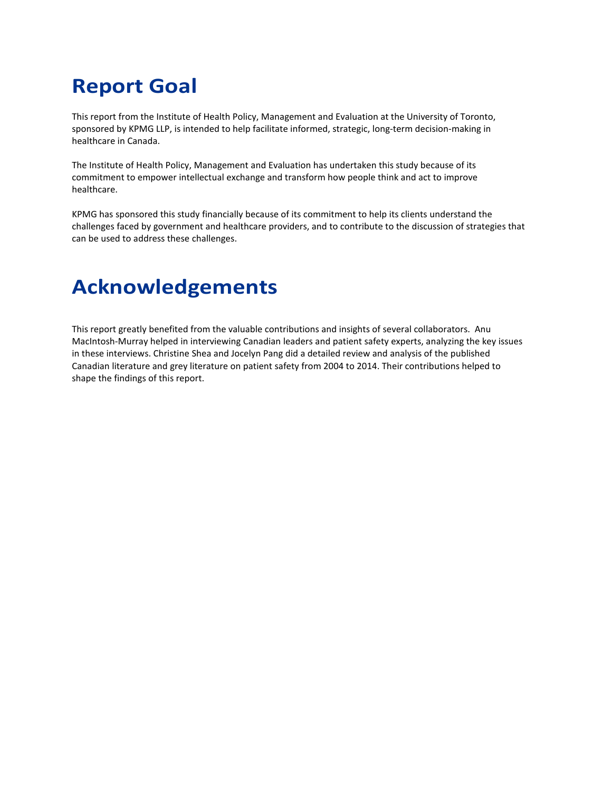# **Report Goal**

This report from the Institute of Health Policy, Management and Evaluation at the University of Toronto, sponsored by KPMG LLP, is intended to help facilitate informed, strategic, long-term decision-making in healthcare in Canada.

The Institute of Health Policy, Management and Evaluation has undertaken this study because of its commitment to empower intellectual exchange and transform how people think and act to improve healthcare.

KPMG has sponsored this study financially because of its commitment to help its clients understand the challenges faced by government and healthcare providers, and to contribute to the discussion of strategies that can be used to address these challenges.

### **Acknowledgements**

This report greatly benefited from the valuable contributions and insights of several collaborators. Anu MacIntosh-Murray helped in interviewing Canadian leaders and patient safety experts, analyzing the key issues in these interviews. Christine Shea and Jocelyn Pang did a detailed review and analysis of the published Canadian literature and grey literature on patient safety from 2004 to 2014. Their contributions helped to shape the findings of this report.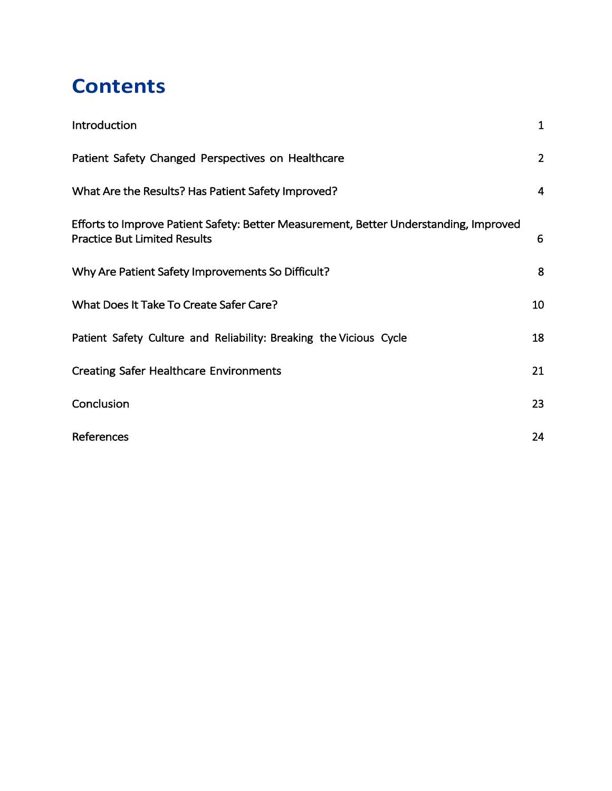### **Contents**

| Introduction                                                                                                                 | $\mathbf{1}$   |
|------------------------------------------------------------------------------------------------------------------------------|----------------|
| Patient Safety Changed Perspectives on Healthcare                                                                            | $\overline{2}$ |
| What Are the Results? Has Patient Safety Improved?                                                                           | $\overline{4}$ |
| Efforts to Improve Patient Safety: Better Measurement, Better Understanding, Improved<br><b>Practice But Limited Results</b> | 6              |
| Why Are Patient Safety Improvements So Difficult?                                                                            | 8              |
| What Does It Take To Create Safer Care?                                                                                      | 10             |
| Patient Safety Culture and Reliability: Breaking the Vicious Cycle                                                           | 18             |
| <b>Creating Safer Healthcare Environments</b>                                                                                | 21             |
| Conclusion                                                                                                                   | 23             |
| References                                                                                                                   | 24             |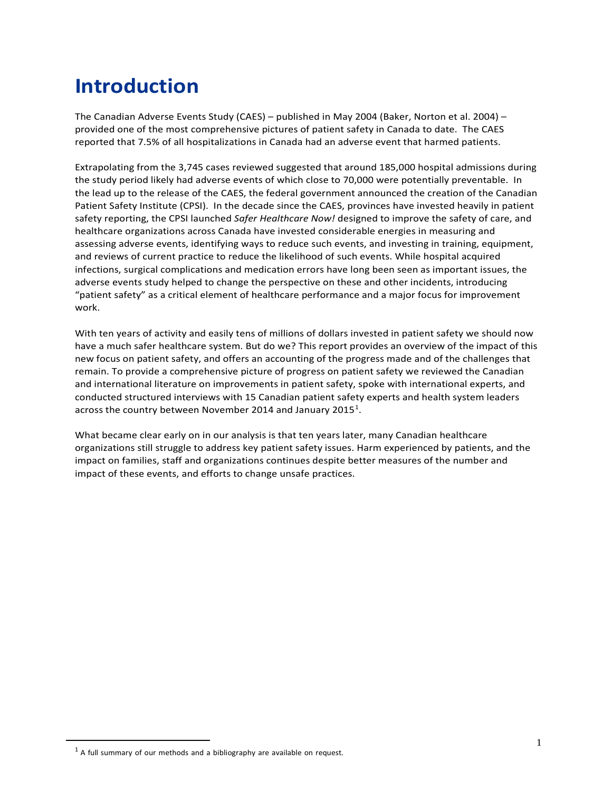### <span id="page-3-0"></span>**Introduction**

The Canadian Adverse Events Study (CAES) – published in May 2004 (Baker, Norton et al. 2004) – provided one of the most comprehensive pictures of patient safety in Canada to date. The CAES reported that 7.5% of all hospitalizations in Canada had an adverse event that harmed patients.

Extrapolating from the 3,745 cases reviewed suggested that around 185,000 hospital admissions during the study period likely had adverse events of which close to 70,000 were potentially preventable. In the lead up to the release of the CAES, the federal government announced the creation of the Canadian Patient Safety Institute (CPSI). In the decade since the CAES, provinces have invested heavily in patient safety reporting, the CPSI launched *Safer Healthcare Now!* designed to improve the safety of care, and healthcare organizations across Canada have invested considerable energies in measuring and assessing adverse events, identifying ways to reduce such events, and investing in training, equipment, and reviews of current practice to reduce the likelihood of such events. While hospital acquired infections, surgical complications and medication errors have long been seen as important issues, the adverse events study helped to change the perspective on these and other incidents, introducing "patient safety" as a critical element of healthcare performance and a major focus for improvement work.

With ten years of activity and easily tens of millions of dollars invested in patient safety we should now have a much safer healthcare system. But do we? This report provides an overview of the impact of this new focus on patient safety, and offers an accounting of the progress made and of the challenges that remain. To provide a comprehensive picture of progress on patient safety we reviewed the Canadian and international literature on improvements in patient safety, spoke with international experts, and conducted structured interviews with 15 Canadian patient safety experts and health system leaders across the country between November 20[1](#page-3-1)4 and January 2015<sup>1</sup>.

What became clear early on in our analysis is that ten years later, many Canadian healthcare organizations still struggle to address key patient safety issues. Harm experienced by patients, and the impact on families, staff and organizations continues despite better measures of the number and impact of these events, and efforts to change unsafe practices.

<span id="page-3-1"></span> $<sup>1</sup>$  A full summary of our methods and a bibliography are available on request.</sup>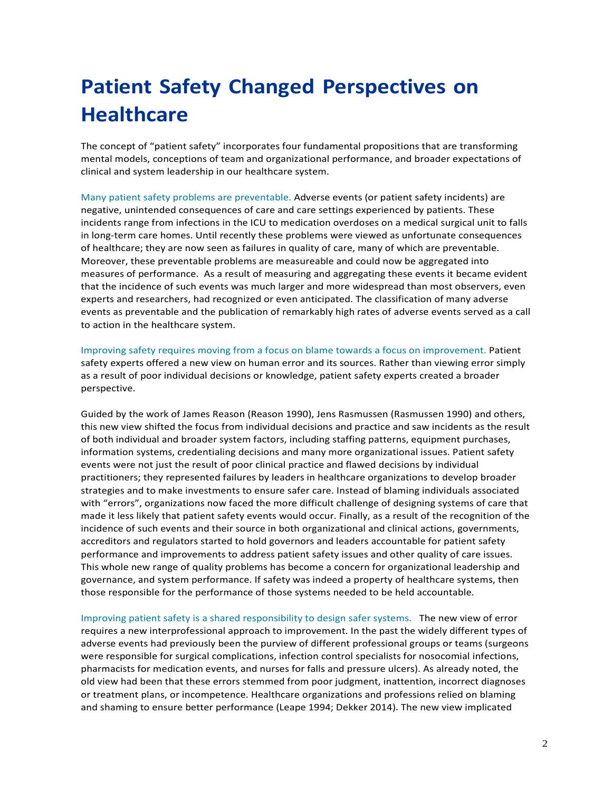# <span id="page-4-0"></span>**Patient Safety Changed Perspectives on Healthcare**

The concept of "patient safety" incorporates four fundamental propositions that are transforming mental models, conceptions of team and organizational performance, and broader expectations of clinical and system leadership in our healthcare system.

Many patient safety problems are preventable. Adverse events (or patient safety incidents) are negative, unintended consequences of care and care settings experienced by patients. These incidents range from infections in the ICU to medication overdoses on a medical surgical unit to falls in long-term care homes. Until recently these problems were viewed as unfortunate consequences of healthcare; they are now seen as failures in quality of care, many of which are preventable. Moreover, these preventable problems are measureable and could now be aggregated into measures of performance. As a result of measuring and aggregating these events it became evident that the incidence of such events was much larger and more widespread than most observers, even experts and researchers, had recognized or even anticipated. The classification of many adverse events as preventable and the publication of remarkably high rates of adverse events served as a call to action in the healthcare system.

Improving safety requires moving from a focus on blame towards a focus on improvement. Patient safety experts offered a new view on human error and its sources. Rather than viewing error simply as a result of poor individual decisions or knowledge, patient safety experts created a broader perspective.

Guided by the work of James Reason (Reason 1990), Jens Rasmussen (Rasmussen 1990) and others, this new view shifted the focus from individual decisions and practice and saw incidents as the result of both individual and broader system factors, including staffing patterns, equipment purchases, information systems, credentialing decisions and many more organizational issues. Patient safety events were not just the result of poor clinical practice and flawed decisions by individual practitioners; they represented failures by leaders in healthcare organizations to develop broader strategies and to make investments to ensure safer care. Instead of blaming individuals associated with "errors", organizations now faced the more difficult challenge of designing systems of care that made it less likely that patient safety events would occur. Finally, as a result of the recognition of the incidence of such events and their source in both organizational and clinical actions, governments, accreditors and regulators started to hold governors and leaders accountable for patient safety performance and improvements to address patient safety issues and other quality of care issues. This whole new range of quality problems has become a concern for organizational leadership and governance, and system performance. If safety was indeed a property of healthcare systems, then those responsible for the performance of those systems needed to be held accountable.

Improving patient safety is a shared responsibility to design safer systems. The new view of error requires a new interprofessional approach to improvement. In the past the widely different types of adverse events had previously been the purview of different professional groups or teams (surgeons were responsible for surgical complications, infection control specialists for nosocomial infections, pharmacists for medication events, and nurses for falls and pressure ulcers). As already noted, the old view had been that these errors stemmed from poor judgment, inattention, incorrect diagnoses or treatment plans, or incompetence. Healthcare organizations and professions relied on blaming and shaming to ensure better performance (Leape 1994; Dekker 2014). The new view implicated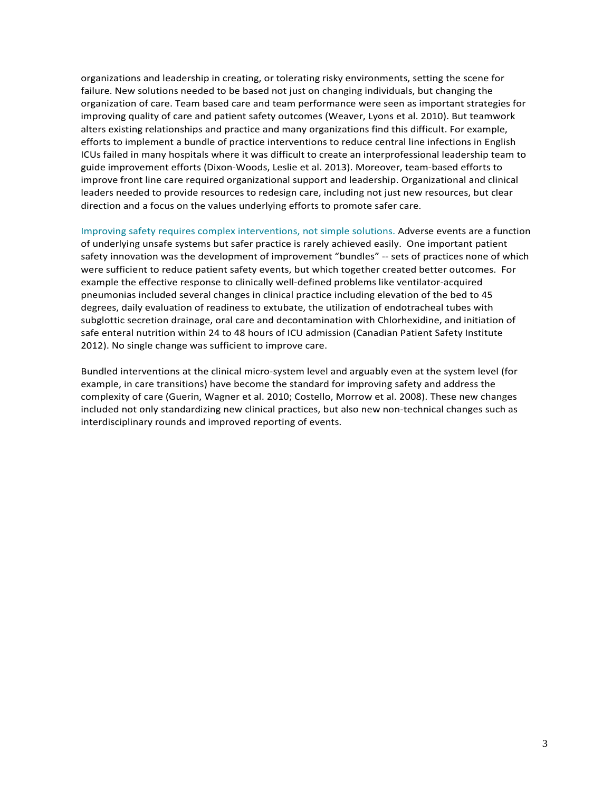organizations and leadership in creating, or tolerating risky environments, setting the scene for failure. New solutions needed to be based not just on changing individuals, but changing the organization of care. Team based care and team performance were seen as important strategies for improving quality of care and patient safety outcomes (Weaver, Lyons et al. 2010). But teamwork alters existing relationships and practice and many organizations find this difficult. For example, efforts to implement a bundle of practice interventions to reduce central line infections in English ICUs failed in many hospitals where it was difficult to create an interprofessional leadership team to guide improvement efforts (Dixon-Woods, Leslie et al. 2013). Moreover, team-based efforts to improve front line care required organizational support and leadership. Organizational and clinical leaders needed to provide resources to redesign care, including not just new resources, but clear direction and a focus on the values underlying efforts to promote safer care.

Improving safety requires complex interventions, not simple solutions. Adverse events are a function of underlying unsafe systems but safer practice is rarely achieved easily. One important patient safety innovation was the development of improvement "bundles" -- sets of practices none of which were sufficient to reduce patient safety events, but which together created better outcomes. For example the effective response to clinically well-defined problems like ventilator-acquired pneumonias included several changes in clinical practice including elevation of the bed to 45 degrees, daily evaluation of readiness to extubate, the utilization of endotracheal tubes with subglottic secretion drainage, oral care and decontamination with Chlorhexidine, and initiation of safe enteral nutrition within 24 to 48 hours of ICU admission (Canadian Patient Safety Institute 2012). No single change was sufficient to improve care.

Bundled interventions at the clinical micro-system level and arguably even at the system level (for example, in care transitions) have become the standard for improving safety and address the complexity of care (Guerin, Wagner et al. 2010; Costello, Morrow et al. 2008). These new changes included not only standardizing new clinical practices, but also new non-technical changes such as interdisciplinary rounds and improved reporting of events.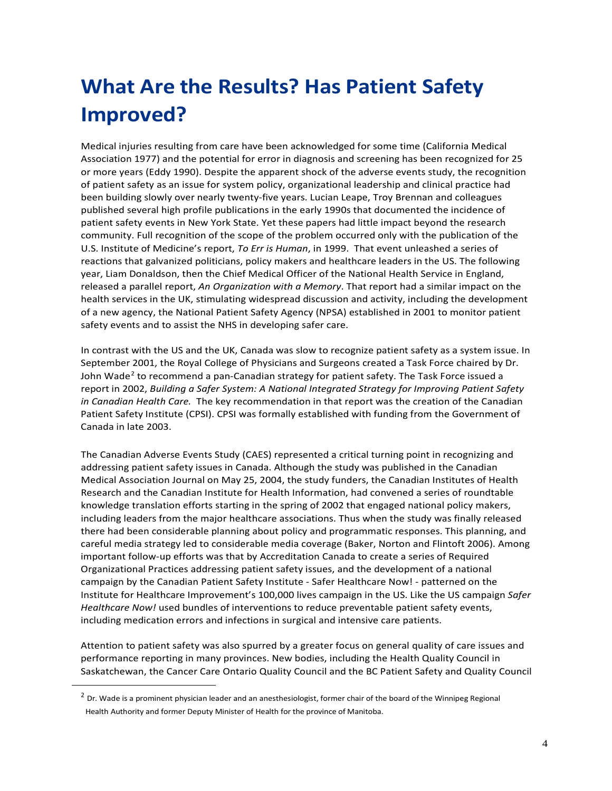# <span id="page-6-0"></span>**What Are the Results? Has Patient Safety Improved?**

Medical injuries resulting from care have been acknowledged for some time (California Medical Association 1977) and the potential for error in diagnosis and screening has been recognized for 25 or more years (Eddy 1990). Despite the apparent shock of the adverse events study, the recognition of patient safety as an issue for system policy, organizational leadership and clinical practice had been building slowly over nearly twenty-five years. Lucian Leape, Troy Brennan and colleagues published several high profile publications in the early 1990s that documented the incidence of patient safety events in New York State. Yet these papers had little impact beyond the research community. Full recognition of the scope of the problem occurred only with the publication of the U.S. Institute of Medicine's report, *To Err is Human*, in 1999. That event unleashed a series of reactions that galvanized politicians, policy makers and healthcare leaders in the US. The following year, Liam Donaldson, then the Chief Medical Officer of the National Health Service in England, released a parallel report, *An Organization with a Memory*. That report had a similar impact on the health services in the UK, stimulating widespread discussion and activity, including the development of a new agency, the National Patient Safety Agency (NPSA) established in 2001 to monitor patient safety events and to assist the NHS in developing safer care.

In contrast with the US and the UK, Canada was slow to recognize patient safety as a system issue. In September 2001, the Royal College of Physicians and Surgeons created a Task Force chaired by Dr. John Wade<sup>[2](#page-6-1)</sup> to recommend a pan-Canadian strategy for patient safety. The Task Force issued a report in 2002, *Building a Safer System: A National Integrated Strategy for Improving Patient Safety in Canadian Health Care.* The key recommendation in that report was the creation of the Canadian Patient Safety Institute (CPSI). CPSI was formally established with funding from the Government of Canada in late 2003.

The Canadian Adverse Events Study (CAES) represented a critical turning point in recognizing and addressing patient safety issues in Canada. Although the study was published in the Canadian Medical Association Journal on May 25, 2004, the study funders, the Canadian Institutes of Health Research and the Canadian Institute for Health Information, had convened a series of roundtable knowledge translation efforts starting in the spring of 2002 that engaged national policy makers, including leaders from the major healthcare associations. Thus when the study was finally released there had been considerable planning about policy and programmatic responses. This planning, and careful media strategy led to considerable media coverage (Baker, Norton and Flintoft 2006). Among important follow-up efforts was that by Accreditation Canada to create a series of Required Organizational Practices addressing patient safety issues, and the development of a national campaign by the Canadian Patient Safety Institute - Safer Healthcare Now! - patterned on the Institute for Healthcare Improvement's 100,000 lives campaign in the US. Like the US campaign *Safer Healthcare Now!* used bundles of interventions to reduce preventable patient safety events, including medication errors and infections in surgical and intensive care patients.

Attention to patient safety was also spurred by a greater focus on general quality of care issues and performance reporting in many provinces. New bodies, including the Health Quality Council in Saskatchewan, the Cancer Care Ontario Quality Council and the BC Patient Safety and Quality Council

<span id="page-6-1"></span> $2$  Dr. Wade is a prominent physician leader and an anesthesiologist, former chair of the board of the Winnipeg Regional Health Authority and former Deputy Minister of Health for the province of Manitoba.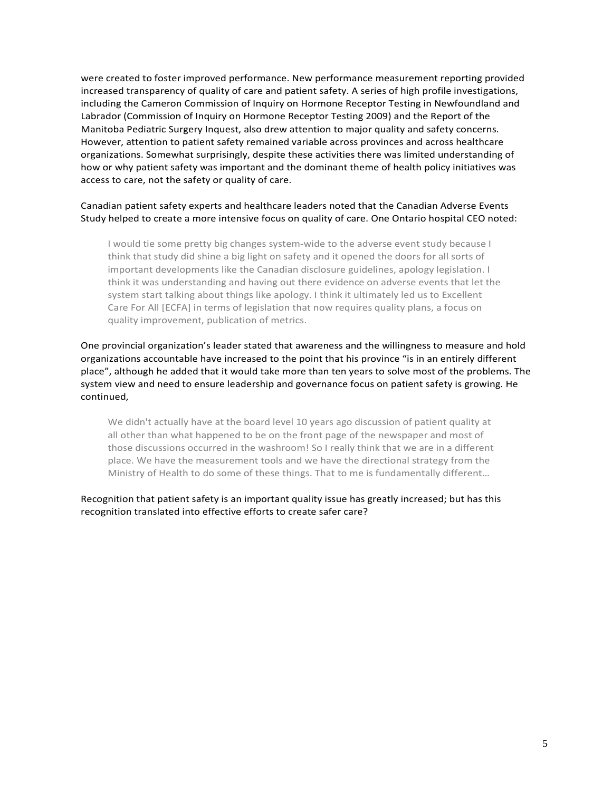were created to foster improved performance. New performance measurement reporting provided increased transparency of quality of care and patient safety. A series of high profile investigations, including the Cameron Commission of Inquiry on Hormone Receptor Testing in Newfoundland and Labrador (Commission of Inquiry on Hormone Receptor Testing 2009) and the Report of the Manitoba Pediatric Surgery Inquest, also drew attention to major quality and safety concerns. However, attention to patient safety remained variable across provinces and across healthcare organizations. Somewhat surprisingly, despite these activities there was limited understanding of how or why patient safety was important and the dominant theme of health policy initiatives was access to care, not the safety or quality of care.

#### Canadian patient safety experts and healthcare leaders noted that the Canadian Adverse Events Study helped to create a more intensive focus on quality of care. One Ontario hospital CEO noted:

I would tie some pretty big changes system-wide to the adverse event study because I think that study did shine a big light on safety and it opened the doors for all sorts of important developments like the Canadian disclosure guidelines, apology legislation. I think it was understanding and having out there evidence on adverse events that let the system start talking about things like apology. I think it ultimately led us to Excellent Care For All [ECFA] in terms of legislation that now requires quality plans, a focus on quality improvement, publication of metrics.

One provincial organization's leader stated that awareness and the willingness to measure and hold organizations accountable have increased to the point that his province "is in an entirely different place", although he added that it would take more than ten years to solve most of the problems. The system view and need to ensure leadership and governance focus on patient safety is growing. He continued,

We didn't actually have at the board level 10 years ago discussion of patient quality at all other than what happened to be on the front page of the newspaper and most of those discussions occurred in the washroom! So I really think that we are in a different place. We have the measurement tools and we have the directional strategy from the Ministry of Health to do some of these things. That to me is fundamentally different…

Recognition that patient safety is an important quality issue has greatly increased; but has this recognition translated into effective efforts to create safer care?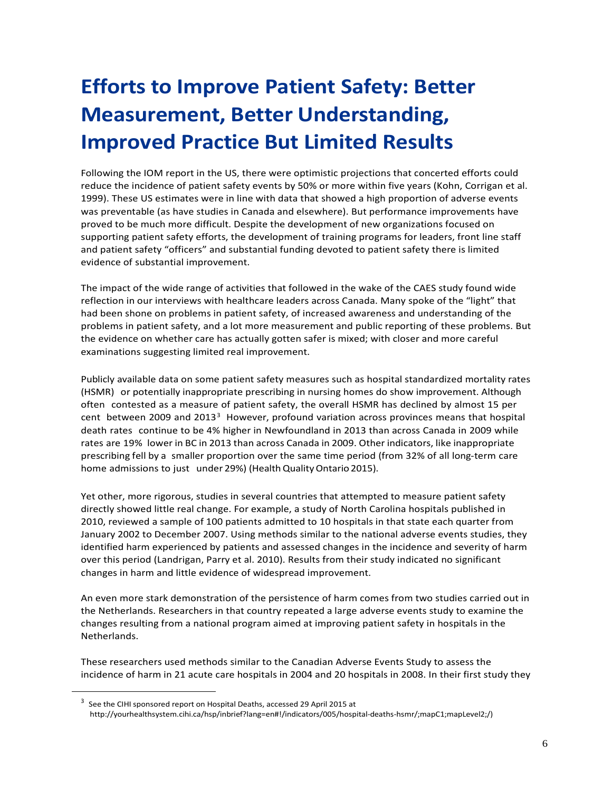# <span id="page-8-0"></span>**Efforts to Improve Patient Safety: Better Measurement, Better Understanding, Improved Practice But Limited Results**

Following the IOM report in the US, there were optimistic projections that concerted efforts could reduce the incidence of patient safety events by 50% or more within five years (Kohn, Corrigan et al. 1999). These US estimates were in line with data that showed a high proportion of adverse events was preventable (as have studies in Canada and elsewhere). But performance improvements have proved to be much more difficult. Despite the development of new organizations focused on supporting patient safety efforts, the development of training programs for leaders, front line staff and patient safety "officers" and substantial funding devoted to patient safety there is limited evidence of substantial improvement.

The impact of the wide range of activities that followed in the wake of the CAES study found wide reflection in our interviews with healthcare leaders across Canada. Many spoke of the "light" that had been shone on problems in patient safety, of increased awareness and understanding of the problems in patient safety, and a lot more measurement and public reporting of these problems. But the evidence on whether care has actually gotten safer is mixed; with closer and more careful examinations suggesting limited real improvement.

Publicly available data on some patient safety measures such as hospital standardized mortality rates (HSMR) or potentially inappropriate prescribing in nursing homes do show improvement. Although often contested as a measure of patient safety, the overall HSMR has declined by almost 15 per cent between 2009 and 2013<sup>3</sup> However, profound variation across provinces means that hospital death rates continue to be 4% higher in Newfoundland in 2013 than across Canada in 2009 while rates are 19% lower in BC in 2013 than across Canada in 2009. Other indicators, like inappropriate prescribing fell by a smaller proportion over the same time period (from 32% of all long-term care home admissions to just under 29%) (Health Quality Ontario 2015).

Yet other, more rigorous, studies in several countries that attempted to measure patient safety directly showed little real change. For example, a study of North Carolina hospitals published in 2010, reviewed a sample of 100 patients admitted to 10 hospitals in that state each quarter from January 2002 to December 2007. Using methods similar to the national adverse events studies, they identified harm experienced by patients and assessed changes in the incidence and severity of harm over this period (Landrigan, Parry et al. 2010). Results from their study indicated no significant changes in harm and little evidence of widespread improvement.

An even more stark demonstration of the persistence of harm comes from two studies carried out in the Netherlands. Researchers in that country repeated a large adverse events study to examine the changes resulting from a national program aimed at improving patient safety in hospitals in the Netherlands.

These researchers used methods similar to the Canadian Adverse Events Study to assess the incidence of harm in 21 acute care hospitals in 2004 and 20 hospitals in 2008. In their first study they

<span id="page-8-1"></span> <sup>3</sup> See the CIHI sponsored report on Hospital Deaths, accessed 29 April 2015 at http://yourhealthsystem.cihi.ca/hsp/inbrief?lang=en#!/indicators/005/hospital-deaths-hsmr/;mapC1;mapLevel2;/)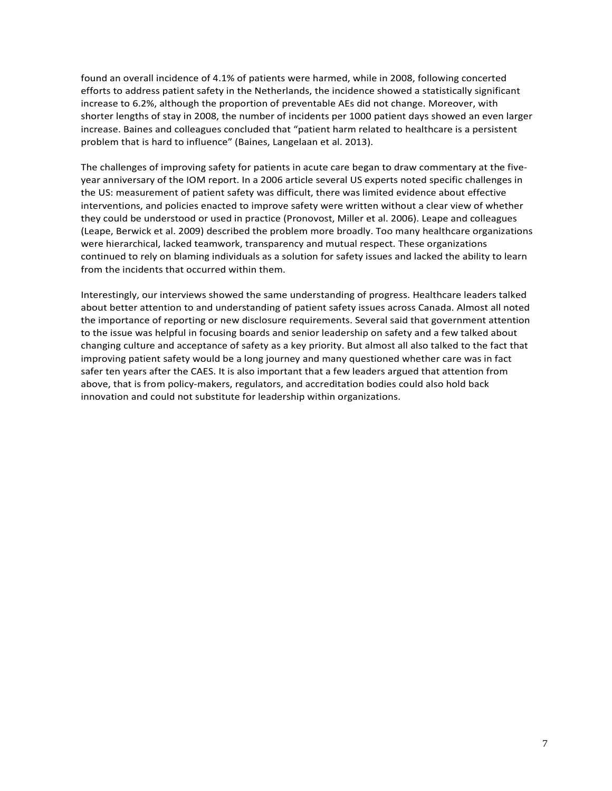found an overall incidence of 4.1% of patients were harmed, while in 2008, following concerted efforts to address patient safety in the Netherlands, the incidence showed a statistically significant increase to 6.2%, although the proportion of preventable AEs did not change. Moreover, with shorter lengths of stay in 2008, the number of incidents per 1000 patient days showed an even larger increase. Baines and colleagues concluded that "patient harm related to healthcare is a persistent problem that is hard to influence" (Baines, Langelaan et al. 2013).

The challenges of improving safety for patients in acute care began to draw commentary at the fiveyear anniversary of the IOM report. In a 2006 article several US experts noted specific challenges in the US: measurement of patient safety was difficult, there was limited evidence about effective interventions, and policies enacted to improve safety were written without a clear view of whether they could be understood or used in practice (Pronovost, Miller et al. 2006). Leape and colleagues (Leape, Berwick et al. 2009) described the problem more broadly. Too many healthcare organizations were hierarchical, lacked teamwork, transparency and mutual respect. These organizations continued to rely on blaming individuals as a solution for safety issues and lacked the ability to learn from the incidents that occurred within them.

Interestingly, our interviews showed the same understanding of progress. Healthcare leaders talked about better attention to and understanding of patient safety issues across Canada. Almost all noted the importance of reporting or new disclosure requirements. Several said that government attention to the issue was helpful in focusing boards and senior leadership on safety and a few talked about changing culture and acceptance of safety as a key priority. But almost all also talked to the fact that improving patient safety would be a long journey and many questioned whether care was in fact safer ten years after the CAES. It is also important that a few leaders argued that attention from above, that is from policy-makers, regulators, and accreditation bodies could also hold back innovation and could not substitute for leadership within organizations.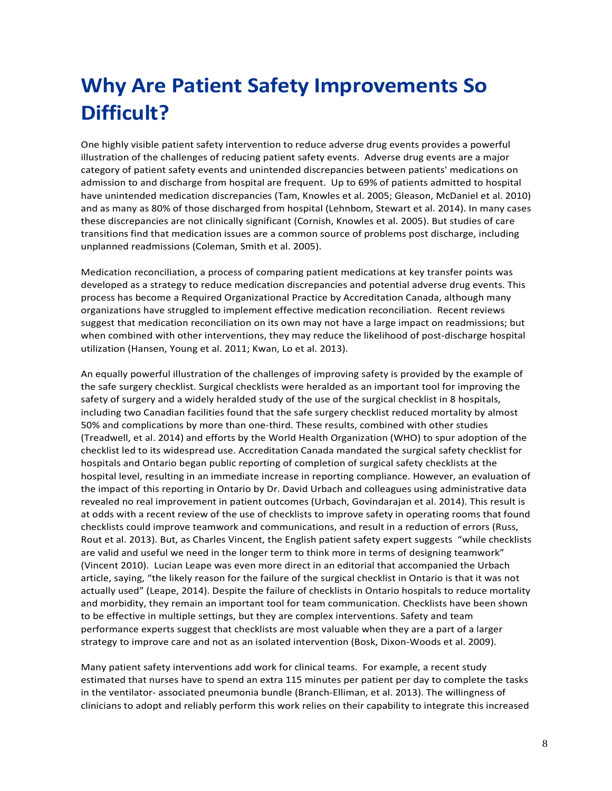# <span id="page-10-0"></span>**Why Are Patient Safety Improvements So Difficult?**

One highly visible patient safety intervention to reduce adverse drug events provides a powerful illustration of the challenges of reducing patient safety events. Adverse drug events are a major category of patient safety events and unintended discrepancies between patients' medications on admission to and discharge from hospital are frequent. Up to 69% of patients admitted to hospital have unintended medication discrepancies (Tam, Knowles et al. 2005; Gleason, McDaniel et al. 2010) and as many as 80% of those discharged from hospital (Lehnbom, Stewart et al. 2014). In many cases these discrepancies are not clinically significant (Cornish, Knowles et al. 2005). But studies of care transitions find that medication issues are a common source of problems post discharge, including unplanned readmissions (Coleman, Smith et al. 2005).

Medication reconciliation, a process of comparing patient medications at key transfer points was developed as a strategy to reduce medication discrepancies and potential adverse drug events. This process has become a Required Organizational Practice by Accreditation Canada, although many organizations have struggled to implement effective medication reconciliation. Recent reviews suggest that medication reconciliation on its own may not have a large impact on readmissions; but when combined with other interventions, they may reduce the likelihood of post-discharge hospital utilization (Hansen, Young et al. 2011; Kwan, Lo et al. 2013).

An equally powerful illustration of the challenges of improving safety is provided by the example of the safe surgery checklist. Surgical checklists were heralded as an important tool for improving the safety of surgery and a widely heralded study of the use of the surgical checklist in 8 hospitals, including two Canadian facilities found that the safe surgery checklist reduced mortality by almost 50% and complications by more than one-third. These results, combined with other studies (Treadwell, et al. 2014) and efforts by the World Health Organization (WHO) to spur adoption of the checklist led to its widespread use. Accreditation Canada mandated the surgical safety checklist for hospitals and Ontario began public reporting of completion of surgical safety checklists at the hospital level, resulting in an immediate increase in reporting compliance. However, an evaluation of the impact of this reporting in Ontario by Dr. David Urbach and colleagues using administrative data revealed no real improvement in patient outcomes (Urbach, Govindarajan et al. 2014). This result is at odds with a recent review of the use of checklists to improve safety in operating rooms that found checklists could improve teamwork and communications, and result in a reduction of errors (Russ, Rout et al. 2013). But, as Charles Vincent, the English patient safety expert suggests "while checklists are valid and useful we need in the longer term to think more in terms of designing teamwork" (Vincent 2010). Lucian Leape was even more direct in an editorial that accompanied the Urbach article, saying, "the likely reason for the failure of the surgical checklist in Ontario is that it was not actually used" (Leape, 2014). Despite the failure of checklists in Ontario hospitals to reduce mortality and morbidity, they remain an important tool for team communication. Checklists have been shown to be effective in multiple settings, but they are complex interventions. Safety and team performance experts suggest that checklists are most valuable when they are a part of a larger strategy to improve care and not as an isolated intervention (Bosk, Dixon-Woods et al. 2009).

Many patient safety interventions add work for clinical teams. For example, a recent study estimated that nurses have to spend an extra 115 minutes per patient per day to complete the tasks in the ventilator- associated pneumonia bundle (Branch-Elliman, et al. 2013). The willingness of clinicians to adopt and reliably perform this work relies on their capability to integrate this increased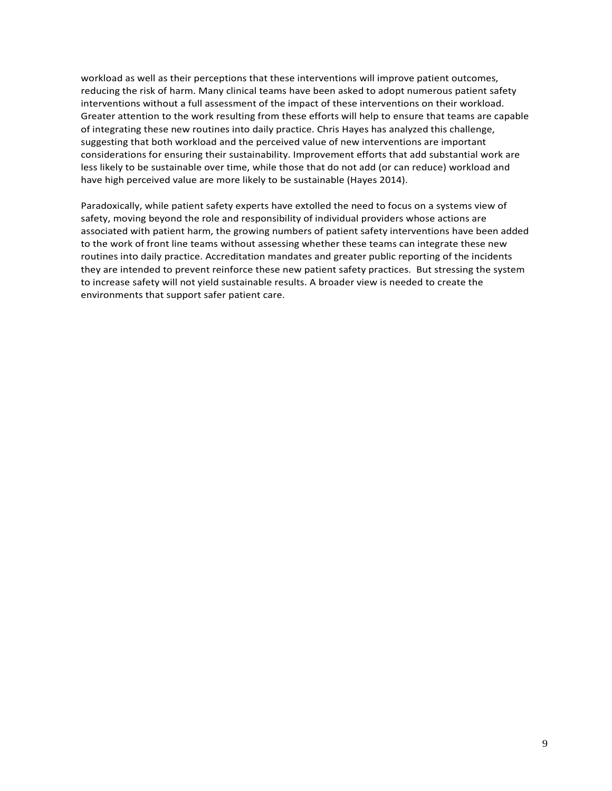workload as well as their perceptions that these interventions will improve patient outcomes, reducing the risk of harm. Many clinical teams have been asked to adopt numerous patient safety interventions without a full assessment of the impact of these interventions on their workload. Greater attention to the work resulting from these efforts will help to ensure that teams are capable of integrating these new routines into daily practice. Chris Hayes has analyzed this challenge, suggesting that both workload and the perceived value of new interventions are important considerations for ensuring their sustainability. Improvement efforts that add substantial work are less likely to be sustainable over time, while those that do not add (or can reduce) workload and have high perceived value are more likely to be sustainable (Hayes 2014).

Paradoxically, while patient safety experts have extolled the need to focus on a systems view of safety, moving beyond the role and responsibility of individual providers whose actions are associated with patient harm, the growing numbers of patient safety interventions have been added to the work of front line teams without assessing whether these teams can integrate these new routines into daily practice. Accreditation mandates and greater public reporting of the incidents they are intended to prevent reinforce these new patient safety practices. But stressing the system to increase safety will not yield sustainable results. A broader view is needed to create the environments that support safer patient care.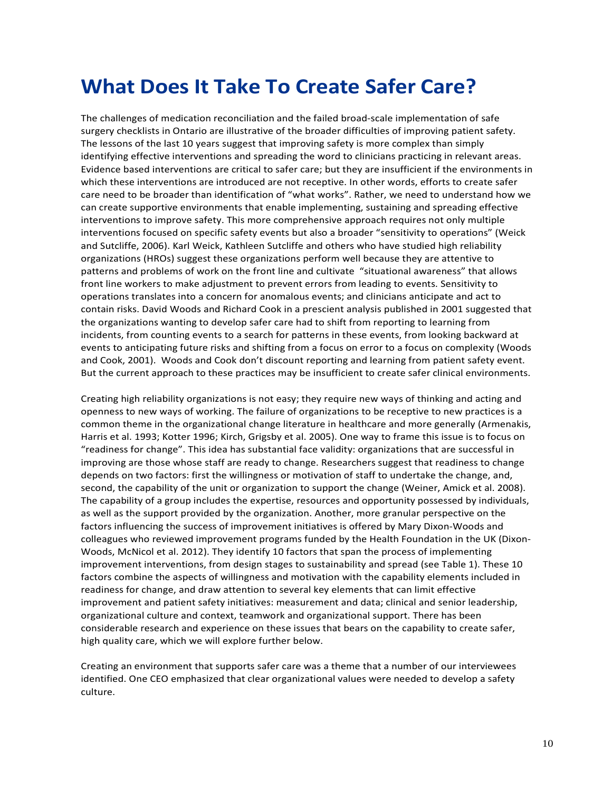### <span id="page-12-0"></span>**What Does It Take To Create Safer Care?**

The challenges of medication reconciliation and the failed broad-scale implementation of safe surgery checklists in Ontario are illustrative of the broader difficulties of improving patient safety. The lessons of the last 10 years suggest that improving safety is more complex than simply identifying effective interventions and spreading the word to clinicians practicing in relevant areas. Evidence based interventions are critical to safer care; but they are insufficient if the environments in which these interventions are introduced are not receptive. In other words, efforts to create safer care need to be broader than identification of "what works". Rather, we need to understand how we can create supportive environments that enable implementing, sustaining and spreading effective interventions to improve safety. This more comprehensive approach requires not only multiple interventions focused on specific safety events but also a broader "sensitivity to operations" (Weick and Sutcliffe, 2006). Karl Weick, Kathleen Sutcliffe and others who have studied high reliability organizations (HROs) suggest these organizations perform well because they are attentive to patterns and problems of work on the front line and cultivate "situational awareness" that allows front line workers to make adjustment to prevent errors from leading to events. Sensitivity to operations translates into a concern for anomalous events; and clinicians anticipate and act to contain risks. David Woods and Richard Cook in a prescient analysis published in 2001 suggested that the organizations wanting to develop safer care had to shift from reporting to learning from incidents, from counting events to a search for patterns in these events, from looking backward at events to anticipating future risks and shifting from a focus on error to a focus on complexity (Woods and Cook, 2001). Woods and Cook don't discount reporting and learning from patient safety event. But the current approach to these practices may be insufficient to create safer clinical environments.

Creating high reliability organizations is not easy; they require new ways of thinking and acting and openness to new ways of working. The failure of organizations to be receptive to new practices is a common theme in the organizational change literature in healthcare and more generally (Armenakis, Harris et al. 1993; Kotter 1996; Kirch, Grigsby et al. 2005). One way to frame this issue is to focus on "readiness for change". This idea has substantial face validity: organizations that are successful in improving are those whose staff are ready to change. Researchers suggest that readiness to change depends on two factors: first the willingness or motivation of staff to undertake the change, and, second, the capability of the unit or organization to support the change (Weiner, Amick et al. 2008). The capability of a group includes the expertise, resources and opportunity possessed by individuals, as well as the support provided by the organization. Another, more granular perspective on the factors influencing the success of improvement initiatives is offered by Mary Dixon-Woods and colleagues who reviewed improvement programs funded by the Health Foundation in the UK (Dixon-Woods, McNicol et al. 2012). They identify 10 factors that span the process of implementing improvement interventions, from design stages to sustainability and spread (see Table 1). These 10 factors combine the aspects of willingness and motivation with the capability elements included in readiness for change, and draw attention to several key elements that can limit effective improvement and patient safety initiatives: measurement and data; clinical and senior leadership, organizational culture and context, teamwork and organizational support. There has been considerable research and experience on these issues that bears on the capability to create safer, high quality care, which we will explore further below.

Creating an environment that supports safer care was a theme that a number of our interviewees identified. One CEO emphasized that clear organizational values were needed to develop a safety culture.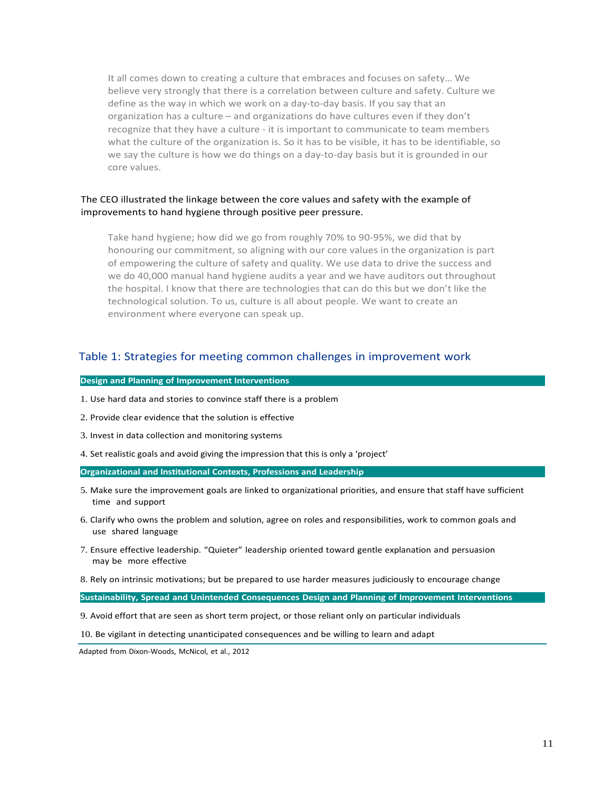It all comes down to creating a culture that embraces and focuses on safety… We believe very strongly that there is a correlation between culture and safety. Culture we define as the way in which we work on a day-to-day basis. If you say that an organization has a culture – and organizations do have cultures even if they don't recognize that they have a culture - it is important to communicate to team members what the culture of the organization is. So it has to be visible, it has to be identifiable, so we say the culture is how we do things on a day-to-day basis but it is grounded in our core values.

#### The CEO illustrated the linkage between the core values and safety with the example of improvements to hand hygiene through positive peer pressure.

Take hand hygiene; how did we go from roughly 70% to 90-95%, we did that by honouring our commitment, so aligning with our core values in the organization is part of empowering the culture of safety and quality. We use data to drive the success and we do 40,000 manual hand hygiene audits a year and we have auditors out throughout the hospital. I know that there are technologies that can do this but we don't like the technological solution. To us, culture is all about people. We want to create an environment where everyone can speak up.

#### Table 1: Strategies for meeting common challenges in improvement work

#### **Design and Planning of Improvement Interventions**

- 1. Use hard data and stories to convince staff there is a problem
- 2. Provide clear evidence that the solution is effective
- 3. Invest in data collection and monitoring systems
- 4. Set realistic goals and avoid giving the impression that this is only a 'project'

#### **Organizational and Institutional Contexts, Professions and Leadership**

- 5. Make sure the improvement goals are linked to organizational priorities, and ensure that staff have sufficient time and support
- 6. Clarify who owns the problem and solution, agree on roles and responsibilities, work to common goals and use shared language
- 7. Ensure effective leadership. "Quieter" leadership oriented toward gentle explanation and persuasion may be more effective
- 8. Rely on intrinsic motivations; but be prepared to use harder measures judiciously to encourage change

**Sustainability, Spread and Unintended Consequences Design and Planning of Improvement Interventions**

- 9. Avoid effort that are seen as short term project, or those reliant only on particular individuals
- 10. Be vigilant in detecting unanticipated consequences and be willing to learn and adapt

Adapted from Dixon-Woods, McNicol, et al., 2012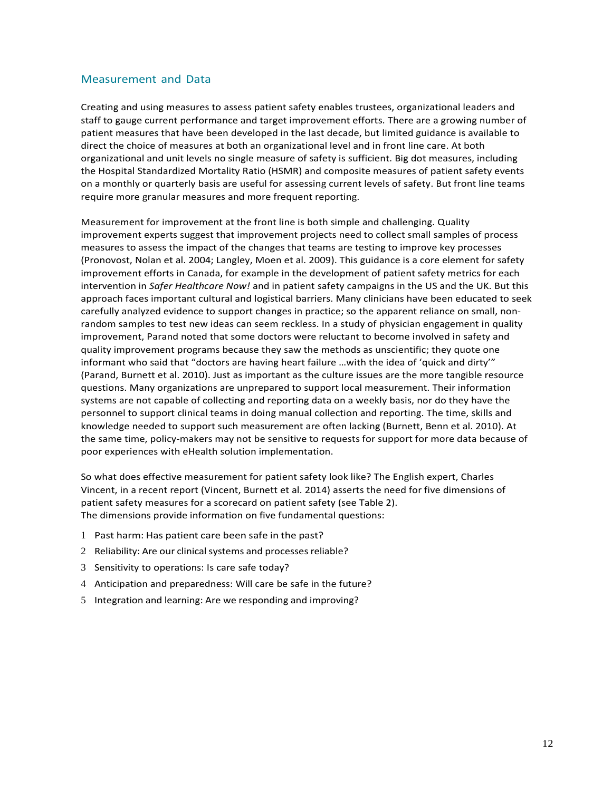#### Measurement and Data

Creating and using measures to assess patient safety enables trustees, organizational leaders and staff to gauge current performance and target improvement efforts. There are a growing number of patient measures that have been developed in the last decade, but limited guidance is available to direct the choice of measures at both an organizational level and in front line care. At both organizational and unit levels no single measure of safety is sufficient. Big dot measures, including the Hospital Standardized Mortality Ratio (HSMR) and composite measures of patient safety events on a monthly or quarterly basis are useful for assessing current levels of safety. But front line teams require more granular measures and more frequent reporting.

Measurement for improvement at the front line is both simple and challenging. Quality improvement experts suggest that improvement projects need to collect small samples of process measures to assess the impact of the changes that teams are testing to improve key processes (Pronovost, Nolan et al. 2004; Langley, Moen et al. 2009). This guidance is a core element for safety improvement efforts in Canada, for example in the development of patient safety metrics for each intervention in *Safer Healthcare Now!* and in patient safety campaigns in the US and the UK. But this approach faces important cultural and logistical barriers. Many clinicians have been educated to seek carefully analyzed evidence to support changes in practice; so the apparent reliance on small, nonrandom samples to test new ideas can seem reckless. In a study of physician engagement in quality improvement, Parand noted that some doctors were reluctant to become involved in safety and quality improvement programs because they saw the methods as unscientific; they quote one informant who said that "doctors are having heart failure …with the idea of 'quick and dirty'" (Parand, Burnett et al. 2010). Just as important as the culture issues are the more tangible resource questions. Many organizations are unprepared to support local measurement. Their information systems are not capable of collecting and reporting data on a weekly basis, nor do they have the personnel to support clinical teams in doing manual collection and reporting. The time, skills and knowledge needed to support such measurement are often lacking (Burnett, Benn et al. 2010). At the same time, policy-makers may not be sensitive to requests for support for more data because of poor experiences with eHealth solution implementation.

So what does effective measurement for patient safety look like? The English expert, Charles Vincent, in a recent report (Vincent, Burnett et al. 2014) asserts the need for five dimensions of patient safety measures for a scorecard on patient safety (see Table 2). The dimensions provide information on five fundamental questions:

- 1 Past harm: Has patient care been safe in the past?
- 2 Reliability: Are our clinical systems and processes reliable?
- 3 Sensitivity to operations: Is care safe today?
- 4 Anticipation and preparedness: Will care be safe in the future?
- 5 Integration and learning: Are we responding and improving?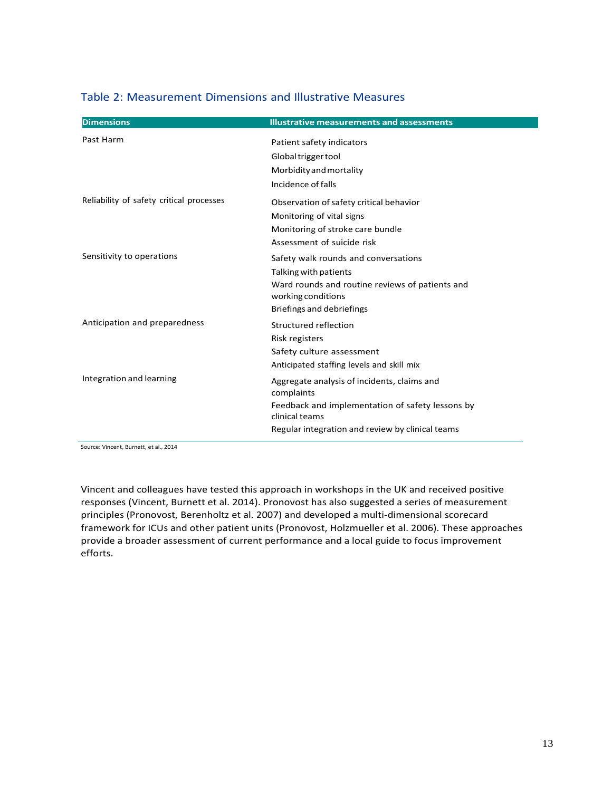| <b>Dimensions</b>                        | <b>Illustrative measurements and assessments</b>                      |
|------------------------------------------|-----------------------------------------------------------------------|
| Past Harm                                | Patient safety indicators                                             |
|                                          | Global trigger tool                                                   |
|                                          | Morbidity and mortality                                               |
|                                          | Incidence of falls                                                    |
| Reliability of safety critical processes | Observation of safety critical behavior                               |
|                                          | Monitoring of vital signs                                             |
|                                          | Monitoring of stroke care bundle                                      |
|                                          | Assessment of suicide risk                                            |
| Sensitivity to operations                | Safety walk rounds and conversations                                  |
|                                          | Talking with patients                                                 |
|                                          | Ward rounds and routine reviews of patients and<br>working conditions |
|                                          | Briefings and debriefings                                             |
| Anticipation and preparedness            | Structured reflection                                                 |
|                                          | Risk registers                                                        |
|                                          | Safety culture assessment                                             |
|                                          | Anticipated staffing levels and skill mix                             |
| Integration and learning                 | Aggregate analysis of incidents, claims and<br>complaints             |
|                                          | Feedback and implementation of safety lessons by                      |
|                                          | clinical teams                                                        |
|                                          | Regular integration and review by clinical teams                      |

#### Table 2: Measurement Dimensions and Illustrative Measures

Source: Vincent, Burnett, et al., 2014

Vincent and colleagues have tested this approach in workshops in the UK and received positive responses (Vincent, Burnett et al. 2014). Pronovost has also suggested a series of measurement principles (Pronovost, Berenholtz et al. 2007) and developed a multi-dimensional scorecard framework for ICUs and other patient units (Pronovost, Holzmueller et al. 2006). These approaches provide a broader assessment of current performance and a local guide to focus improvement efforts.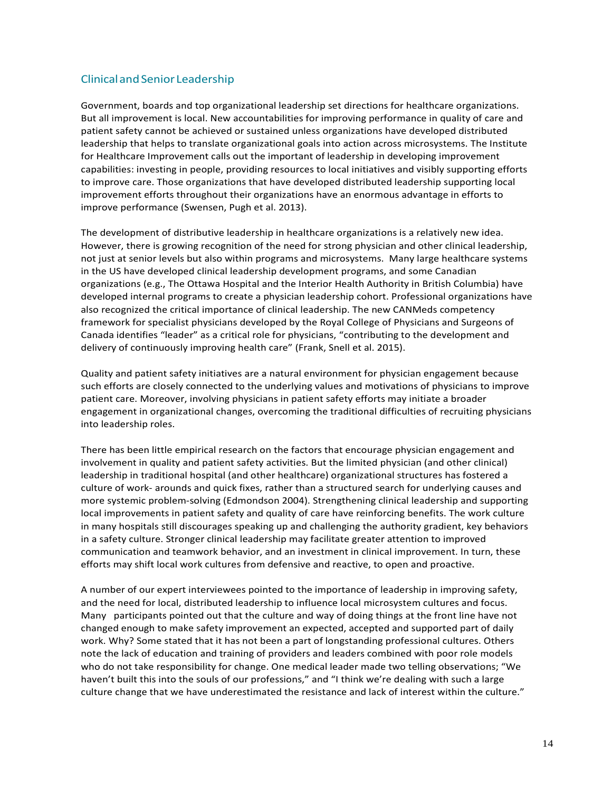#### ClinicalandSenior Leadership

Government, boards and top organizational leadership set directions for healthcare organizations. But all improvement is local. New accountabilities for improving performance in quality of care and patient safety cannot be achieved or sustained unless organizations have developed distributed leadership that helps to translate organizational goals into action across microsystems. The Institute for Healthcare Improvement calls out the important of leadership in developing improvement capabilities: investing in people, providing resources to local initiatives and visibly supporting efforts to improve care. Those organizations that have developed distributed leadership supporting local improvement efforts throughout their organizations have an enormous advantage in efforts to improve performance (Swensen, Pugh et al. 2013).

The development of distributive leadership in healthcare organizations is a relatively new idea. However, there is growing recognition of the need for strong physician and other clinical leadership, not just at senior levels but also within programs and microsystems. Many large healthcare systems in the US have developed clinical leadership development programs, and some Canadian organizations (e.g., The Ottawa Hospital and the Interior Health Authority in British Columbia) have developed internal programs to create a physician leadership cohort. Professional organizations have also recognized the critical importance of clinical leadership. The new CANMeds competency framework for specialist physicians developed by the Royal College of Physicians and Surgeons of Canada identifies "leader" as a critical role for physicians, "contributing to the development and delivery of continuously improving health care" (Frank, Snell et al. 2015).

Quality and patient safety initiatives are a natural environment for physician engagement because such efforts are closely connected to the underlying values and motivations of physicians to improve patient care. Moreover, involving physicians in patient safety efforts may initiate a broader engagement in organizational changes, overcoming the traditional difficulties of recruiting physicians into leadership roles.

There has been little empirical research on the factors that encourage physician engagement and involvement in quality and patient safety activities. But the limited physician (and other clinical) leadership in traditional hospital (and other healthcare) organizational structures has fostered a culture of work- arounds and quick fixes, rather than a structured search for underlying causes and more systemic problem-solving (Edmondson 2004). Strengthening clinical leadership and supporting local improvements in patient safety and quality of care have reinforcing benefits. The work culture in many hospitals still discourages speaking up and challenging the authority gradient, key behaviors in a safety culture. Stronger clinical leadership may facilitate greater attention to improved communication and teamwork behavior, and an investment in clinical improvement. In turn, these efforts may shift local work cultures from defensive and reactive, to open and proactive.

A number of our expert interviewees pointed to the importance of leadership in improving safety, and the need for local, distributed leadership to influence local microsystem cultures and focus. Many participants pointed out that the culture and way of doing things at the front line have not changed enough to make safety improvement an expected, accepted and supported part of daily work. Why? Some stated that it has not been a part of longstanding professional cultures. Others note the lack of education and training of providers and leaders combined with poor role models who do not take responsibility for change. One medical leader made two telling observations; "We haven't built this into the souls of our professions," and "I think we're dealing with such a large culture change that we have underestimated the resistance and lack of interest within the culture."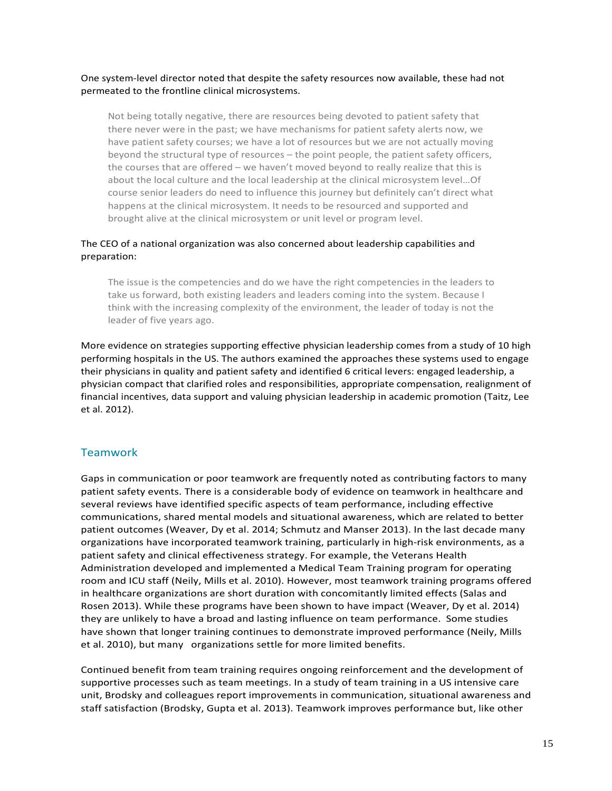#### One system-level director noted that despite the safety resources now available, these had not permeated to the frontline clinical microsystems.

Not being totally negative, there are resources being devoted to patient safety that there never were in the past; we have mechanisms for patient safety alerts now, we have patient safety courses; we have a lot of resources but we are not actually moving beyond the structural type of resources – the point people, the patient safety officers, the courses that are offered – we haven't moved beyond to really realize that this is about the local culture and the local leadership at the clinical microsystem level…Of course senior leaders do need to influence this journey but definitely can't direct what happens at the clinical microsystem. It needs to be resourced and supported and brought alive at the clinical microsystem or unit level or program level.

#### The CEO of a national organization was also concerned about leadership capabilities and preparation:

The issue is the competencies and do we have the right competencies in the leaders to take us forward, both existing leaders and leaders coming into the system. Because I think with the increasing complexity of the environment, the leader of today is not the leader of five years ago.

More evidence on strategies supporting effective physician leadership comes from a study of 10 high performing hospitals in the US. The authors examined the approaches these systems used to engage their physicians in quality and patient safety and identified 6 critical levers: engaged leadership, a physician compact that clarified roles and responsibilities, appropriate compensation, realignment of financial incentives, data support and valuing physician leadership in academic promotion (Taitz, Lee et al. 2012).

#### Teamwork

Gaps in communication or poor teamwork are frequently noted as contributing factors to many patient safety events. There is a considerable body of evidence on teamwork in healthcare and several reviews have identified specific aspects of team performance, including effective communications, shared mental models and situational awareness, which are related to better patient outcomes (Weaver, Dy et al. 2014; Schmutz and Manser 2013). In the last decade many organizations have incorporated teamwork training, particularly in high-risk environments, as a patient safety and clinical effectiveness strategy. For example, the Veterans Health Administration developed and implemented a Medical Team Training program for operating room and ICU staff (Neily, Mills et al. 2010). However, most teamwork training programs offered in healthcare organizations are short duration with concomitantly limited effects (Salas and Rosen 2013). While these programs have been shown to have impact (Weaver, Dy et al. 2014) they are unlikely to have a broad and lasting influence on team performance. Some studies have shown that longer training continues to demonstrate improved performance (Neily, Mills et al. 2010), but many organizations settle for more limited benefits.

Continued benefit from team training requires ongoing reinforcement and the development of supportive processes such as team meetings. In a study of team training in a US intensive care unit, Brodsky and colleagues report improvements in communication, situational awareness and staff satisfaction (Brodsky, Gupta et al. 2013). Teamwork improves performance but, like other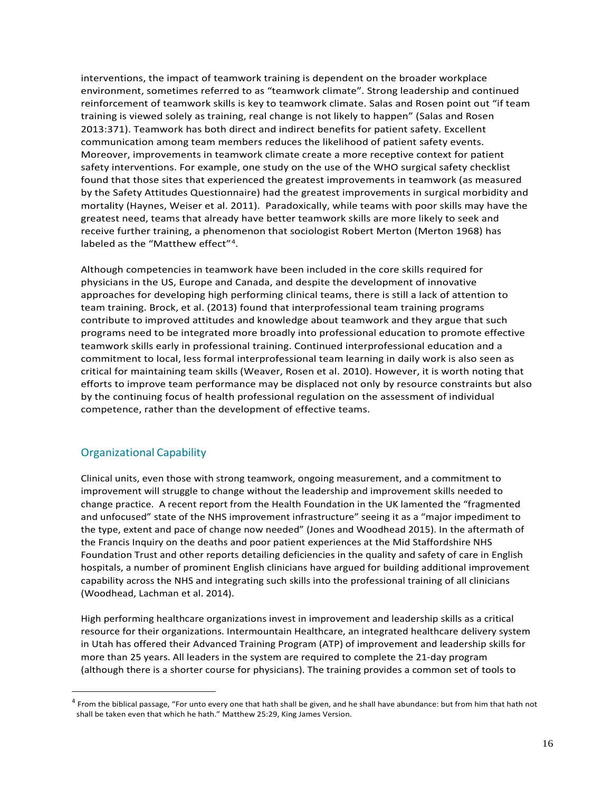interventions, the impact of teamwork training is dependent on the broader workplace environment, sometimes referred to as "teamwork climate". Strong leadership and continued reinforcement of teamwork skills is key to teamwork climate. Salas and Rosen point out "if team training is viewed solely as training, real change is not likely to happen" (Salas and Rosen 2013:371). Teamwork has both direct and indirect benefits for patient safety. Excellent communication among team members reduces the likelihood of patient safety events. Moreover, improvements in teamwork climate create a more receptive context for patient safety interventions. For example, one study on the use of the WHO surgical safety checklist found that those sites that experienced the greatest improvements in teamwork (as measured by the Safety Attitudes Questionnaire) had the greatest improvements in surgical morbidity and mortality (Haynes, Weiser et al. 2011). Paradoxically, while teams with poor skills may have the greatest need, teams that already have better teamwork skills are more likely to seek and receive further training, a phenomenon that sociologist Robert Merton (Merton 1968) has labeled as the "Matthew effect"<sup>[4](#page-18-0)</sup>.

Although competencies in teamwork have been included in the core skills required for physicians in the US, Europe and Canada, and despite the development of innovative approaches for developing high performing clinical teams, there is still a lack of attention to team training. Brock, et al. (2013) found that interprofessional team training programs contribute to improved attitudes and knowledge about teamwork and they argue that such programs need to be integrated more broadly into professional education to promote effective teamwork skills early in professional training. Continued interprofessional education and a commitment to local, less formal interprofessional team learning in daily work is also seen as critical for maintaining team skills (Weaver, Rosen et al. 2010). However, it is worth noting that efforts to improve team performance may be displaced not only by resource constraints but also by the continuing focus of health professional regulation on the assessment of individual competence, rather than the development of effective teams.

#### Organizational Capability

Clinical units, even those with strong teamwork, ongoing measurement, and a commitment to improvement will struggle to change without the leadership and improvement skills needed to change practice. A recent report from the Health Foundation in the UK lamented the "fragmented and unfocused" state of the NHS improvement infrastructure" seeing it as a "major impediment to the type, extent and pace of change now needed" (Jones and Woodhead 2015). In the aftermath of the Francis Inquiry on the deaths and poor patient experiences at the Mid Staffordshire NHS Foundation Trust and other reports detailing deficiencies in the quality and safety of care in English hospitals, a number of prominent English clinicians have argued for building additional improvement capability across the NHS and integrating such skills into the professional training of all clinicians (Woodhead, Lachman et al. 2014).

High performing healthcare organizations invest in improvement and leadership skills as a critical resource for their organizations. Intermountain Healthcare, an integrated healthcare delivery system in Utah has offered their Advanced Training Program (ATP) of improvement and leadership skills for more than 25 years. All leaders in the system are required to complete the 21-day program (although there is a shorter course for physicians). The training provides a common set of tools to

<span id="page-18-0"></span> $4$  From the biblical passage, "For unto every one that hath shall be given, and he shall have abundance: but from him that hath not shall be taken even that which he hath." Matthew 25:29, King James Version.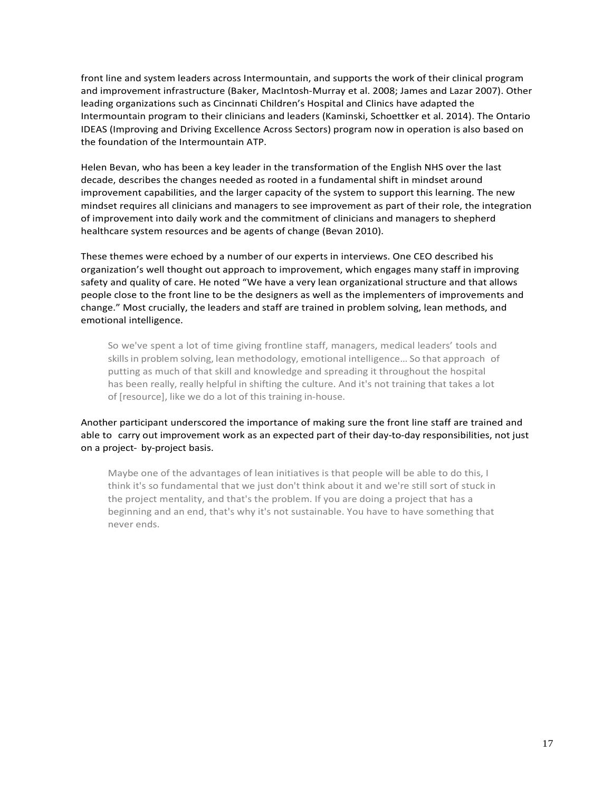front line and system leaders across Intermountain, and supports the work of their clinical program and improvement infrastructure (Baker, MacIntosh-Murray et al. 2008; James and Lazar 2007). Other leading organizations such as Cincinnati Children's Hospital and Clinics have adapted the Intermountain program to their clinicians and leaders (Kaminski, Schoettker et al. 2014). The Ontario IDEAS (Improving and Driving Excellence Across Sectors) program now in operation is also based on the foundation of the Intermountain ATP.

Helen Bevan, who has been a key leader in the transformation of the English NHS over the last decade, describes the changes needed as rooted in a fundamental shift in mindset around improvement capabilities, and the larger capacity of the system to support this learning. The new mindset requires all clinicians and managers to see improvement as part of their role, the integration of improvement into daily work and the commitment of clinicians and managers to shepherd healthcare system resources and be agents of change (Bevan 2010).

These themes were echoed by a number of our experts in interviews. One CEO described his organization's well thought out approach to improvement, which engages many staff in improving safety and quality of care. He noted "We have a very lean organizational structure and that allows people close to the front line to be the designers as well as the implementers of improvements and change." Most crucially, the leaders and staff are trained in problem solving, lean methods, and emotional intelligence.

So we've spent a lot of time giving frontline staff, managers, medical leaders' tools and skills in problem solving, lean methodology, emotional intelligence... So that approach of putting as much of that skill and knowledge and spreading it throughout the hospital has been really, really helpful in shifting the culture. And it's not training that takes a lot of [resource], like we do a lot of this training in-house.

Another participant underscored the importance of making sure the front line staff are trained and able to carry out improvement work as an expected part of their day-to-day responsibilities, not just on a project- by-project basis.

Maybe one of the advantages of lean initiatives is that people will be able to do this, I think it's so fundamental that we just don't think about it and we're still sort of stuck in the project mentality, and that's the problem. If you are doing a project that has a beginning and an end, that's why it's not sustainable. You have to have something that never ends.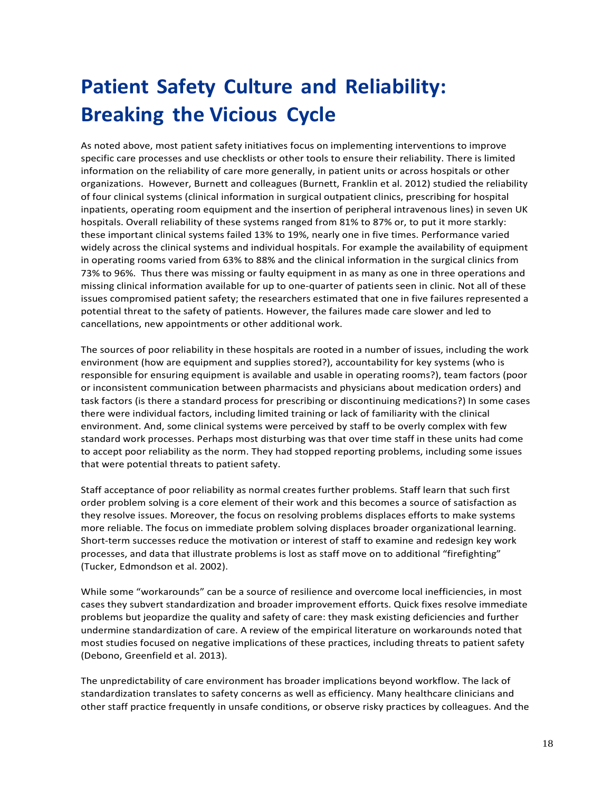# <span id="page-20-0"></span>**Patient Safety Culture and Reliability: Breaking the Vicious Cycle**

As noted above, most patient safety initiatives focus on implementing interventions to improve specific care processes and use checklists or other tools to ensure their reliability. There is limited information on the reliability of care more generally, in patient units or across hospitals or other organizations. However, Burnett and colleagues (Burnett, Franklin et al. 2012) studied the reliability of four clinical systems (clinical information in surgical outpatient clinics, prescribing for hospital inpatients, operating room equipment and the insertion of peripheral intravenous lines) in seven UK hospitals. Overall reliability of these systems ranged from 81% to 87% or, to put it more starkly: these important clinical systems failed 13% to 19%, nearly one in five times. Performance varied widely across the clinical systems and individual hospitals. For example the availability of equipment in operating rooms varied from 63% to 88% and the clinical information in the surgical clinics from 73% to 96%. Thus there was missing or faulty equipment in as many as one in three operations and missing clinical information available for up to one-quarter of patients seen in clinic. Not all of these issues compromised patient safety; the researchers estimated that one in five failures represented a potential threat to the safety of patients. However, the failures made care slower and led to cancellations, new appointments or other additional work.

The sources of poor reliability in these hospitals are rooted in a number of issues, including the work environment (how are equipment and supplies stored?), accountability for key systems (who is responsible for ensuring equipment is available and usable in operating rooms?), team factors (poor or inconsistent communication between pharmacists and physicians about medication orders) and task factors (is there a standard process for prescribing or discontinuing medications?) In some cases there were individual factors, including limited training or lack of familiarity with the clinical environment. And, some clinical systems were perceived by staff to be overly complex with few standard work processes. Perhaps most disturbing was that over time staff in these units had come to accept poor reliability as the norm. They had stopped reporting problems, including some issues that were potential threats to patient safety.

Staff acceptance of poor reliability as normal creates further problems. Staff learn that such first order problem solving is a core element of their work and this becomes a source of satisfaction as they resolve issues. Moreover, the focus on resolving problems displaces efforts to make systems more reliable. The focus on immediate problem solving displaces broader organizational learning. Short-term successes reduce the motivation or interest of staff to examine and redesign key work processes, and data that illustrate problems is lost as staff move on to additional "firefighting" (Tucker, Edmondson et al. 2002).

While some "workarounds" can be a source of resilience and overcome local inefficiencies, in most cases they subvert standardization and broader improvement efforts. Quick fixes resolve immediate problems but jeopardize the quality and safety of care: they mask existing deficiencies and further undermine standardization of care. A review of the empirical literature on workarounds noted that most studies focused on negative implications of these practices, including threats to patient safety (Debono, Greenfield et al. 2013).

The unpredictability of care environment has broader implications beyond workflow. The lack of standardization translates to safety concerns as well as efficiency. Many healthcare clinicians and other staff practice frequently in unsafe conditions, or observe risky practices by colleagues. And the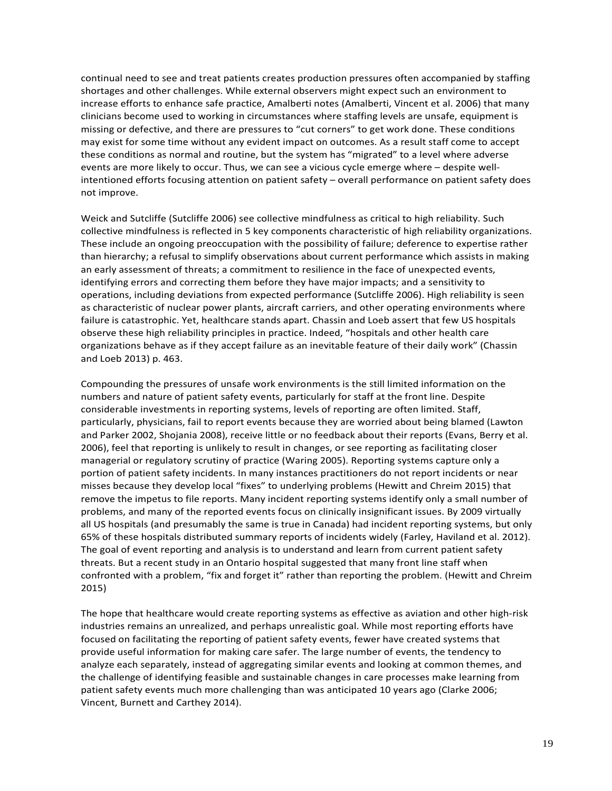continual need to see and treat patients creates production pressures often accompanied by staffing shortages and other challenges. While external observers might expect such an environment to increase efforts to enhance safe practice, Amalberti notes (Amalberti, Vincent et al. 2006) that many clinicians become used to working in circumstances where staffing levels are unsafe, equipment is missing or defective, and there are pressures to "cut corners" to get work done. These conditions may exist for some time without any evident impact on outcomes. As a result staff come to accept these conditions as normal and routine, but the system has "migrated" to a level where adverse events are more likely to occur. Thus, we can see a vicious cycle emerge where – despite wellintentioned efforts focusing attention on patient safety – overall performance on patient safety does not improve.

Weick and Sutcliffe (Sutcliffe 2006) see collective mindfulness as critical to high reliability. Such collective mindfulness is reflected in 5 key components characteristic of high reliability organizations. These include an ongoing preoccupation with the possibility of failure; deference to expertise rather than hierarchy; a refusal to simplify observations about current performance which assists in making an early assessment of threats; a commitment to resilience in the face of unexpected events, identifying errors and correcting them before they have major impacts; and a sensitivity to operations, including deviations from expected performance (Sutcliffe 2006). High reliability is seen as characteristic of nuclear power plants, aircraft carriers, and other operating environments where failure is catastrophic. Yet, healthcare stands apart. Chassin and Loeb assert that few US hospitals observe these high reliability principles in practice. Indeed, "hospitals and other health care organizations behave as if they accept failure as an inevitable feature of their daily work" (Chassin and Loeb 2013) p. 463.

Compounding the pressures of unsafe work environments is the still limited information on the numbers and nature of patient safety events, particularly for staff at the front line. Despite considerable investments in reporting systems, levels of reporting are often limited. Staff, particularly, physicians, fail to report events because they are worried about being blamed (Lawton and Parker 2002, Shojania 2008), receive little or no feedback about their reports (Evans, Berry et al. 2006), feel that reporting is unlikely to result in changes, or see reporting as facilitating closer managerial or regulatory scrutiny of practice (Waring 2005). Reporting systems capture only a portion of patient safety incidents. In many instances practitioners do not report incidents or near misses because they develop local "fixes" to underlying problems (Hewitt and Chreim 2015) that remove the impetus to file reports. Many incident reporting systems identify only a small number of problems, and many of the reported events focus on clinically insignificant issues. By 2009 virtually all US hospitals (and presumably the same is true in Canada) had incident reporting systems, but only 65% of these hospitals distributed summary reports of incidents widely (Farley, Haviland et al. 2012). The goal of event reporting and analysis is to understand and learn from current patient safety threats. But a recent study in an Ontario hospital suggested that many front line staff when confronted with a problem, "fix and forget it" rather than reporting the problem. (Hewitt and Chreim 2015)

The hope that healthcare would create reporting systems as effective as aviation and other high-risk industries remains an unrealized, and perhaps unrealistic goal. While most reporting efforts have focused on facilitating the reporting of patient safety events, fewer have created systems that provide useful information for making care safer. The large number of events, the tendency to analyze each separately, instead of aggregating similar events and looking at common themes, and the challenge of identifying feasible and sustainable changes in care processes make learning from patient safety events much more challenging than was anticipated 10 years ago (Clarke 2006; Vincent, Burnett and Carthey 2014).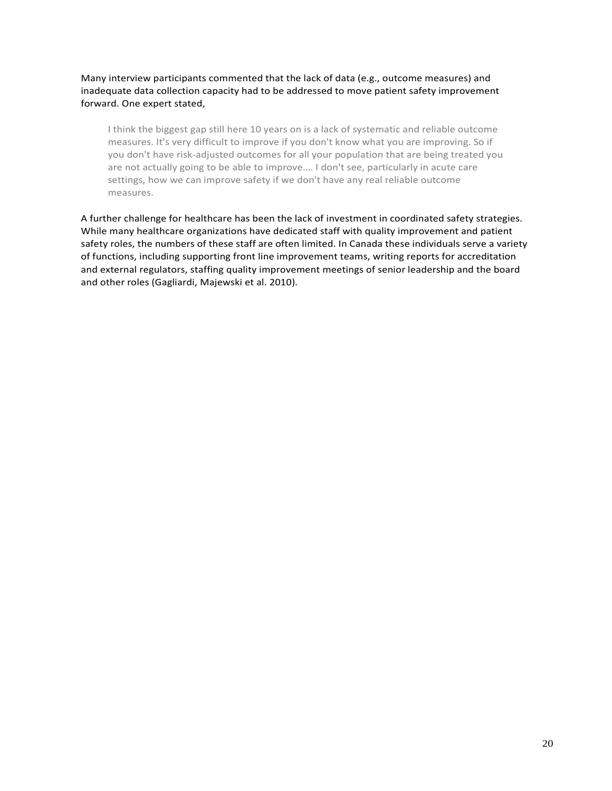Many interview participants commented that the lack of data (e.g., outcome measures) and inadequate data collection capacity had to be addressed to move patient safety improvement forward. One expert stated,

I think the biggest gap still here 10 years on is a lack of systematic and reliable outcome measures. It's very difficult to improve if you don't know what you are improving. So if you don't have risk-adjusted outcomes for all your population that are being treated you are not actually going to be able to improve.… I don't see, particularly in acute care settings, how we can improve safety if we don't have any real reliable outcome measures.

A further challenge for healthcare has been the lack of investment in coordinated safety strategies. While many healthcare organizations have dedicated staff with quality improvement and patient safety roles, the numbers of these staff are often limited. In Canada these individuals serve a variety of functions, including supporting front line improvement teams, writing reports for accreditation and external regulators, staffing quality improvement meetings of senior leadership and the board and other roles (Gagliardi, Majewski et al. 2010).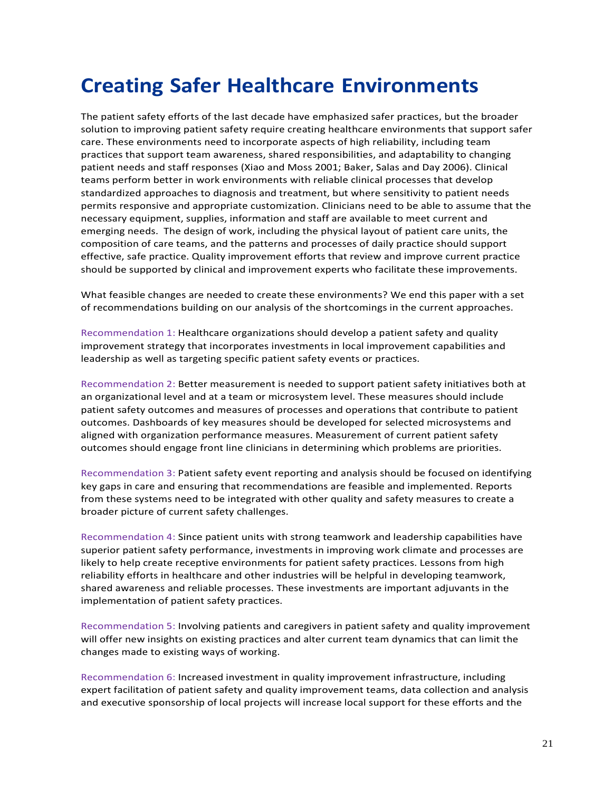### <span id="page-23-0"></span>**Creating Safer Healthcare Environments**

The patient safety efforts of the last decade have emphasized safer practices, but the broader solution to improving patient safety require creating healthcare environments that support safer care. These environments need to incorporate aspects of high reliability, including team practices that support team awareness, shared responsibilities, and adaptability to changing patient needs and staff responses (Xiao and Moss 2001; Baker, Salas and Day 2006). Clinical teams perform better in work environments with reliable clinical processes that develop standardized approaches to diagnosis and treatment, but where sensitivity to patient needs permits responsive and appropriate customization. Clinicians need to be able to assume that the necessary equipment, supplies, information and staff are available to meet current and emerging needs. The design of work, including the physical layout of patient care units, the composition of care teams, and the patterns and processes of daily practice should support effective, safe practice. Quality improvement efforts that review and improve current practice should be supported by clinical and improvement experts who facilitate these improvements.

What feasible changes are needed to create these environments? We end this paper with a set of recommendations building on our analysis of the shortcomings in the current approaches.

Recommendation 1: Healthcare organizations should develop a patient safety and quality improvement strategy that incorporates investments in local improvement capabilities and leadership as well as targeting specific patient safety events or practices.

Recommendation 2: Better measurement is needed to support patient safety initiatives both at an organizational level and at a team or microsystem level. These measures should include patient safety outcomes and measures of processes and operations that contribute to patient outcomes. Dashboards of key measures should be developed for selected microsystems and aligned with organization performance measures. Measurement of current patient safety outcomes should engage front line clinicians in determining which problems are priorities.

Recommendation 3: Patient safety event reporting and analysis should be focused on identifying key gaps in care and ensuring that recommendations are feasible and implemented. Reports from these systems need to be integrated with other quality and safety measures to create a broader picture of current safety challenges.

Recommendation 4: Since patient units with strong teamwork and leadership capabilities have superior patient safety performance, investments in improving work climate and processes are likely to help create receptive environments for patient safety practices. Lessons from high reliability efforts in healthcare and other industries will be helpful in developing teamwork, shared awareness and reliable processes. These investments are important adjuvants in the implementation of patient safety practices.

Recommendation 5: Involving patients and caregivers in patient safety and quality improvement will offer new insights on existing practices and alter current team dynamics that can limit the changes made to existing ways of working.

Recommendation 6: Increased investment in quality improvement infrastructure, including expert facilitation of patient safety and quality improvement teams, data collection and analysis and executive sponsorship of local projects will increase local support for these efforts and the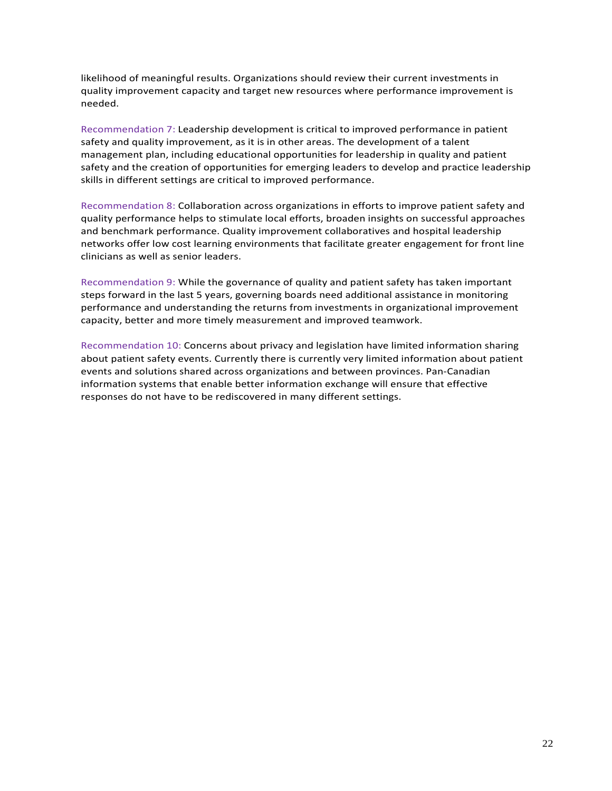likelihood of meaningful results. Organizations should review their current investments in quality improvement capacity and target new resources where performance improvement is needed.

Recommendation 7: Leadership development is critical to improved performance in patient safety and quality improvement, as it is in other areas. The development of a talent management plan, including educational opportunities for leadership in quality and patient safety and the creation of opportunities for emerging leaders to develop and practice leadership skills in different settings are critical to improved performance.

Recommendation 8: Collaboration across organizations in efforts to improve patient safety and quality performance helps to stimulate local efforts, broaden insights on successful approaches and benchmark performance. Quality improvement collaboratives and hospital leadership networks offer low cost learning environments that facilitate greater engagement for front line clinicians as well as senior leaders.

Recommendation 9: While the governance of quality and patient safety has taken important steps forward in the last 5 years, governing boards need additional assistance in monitoring performance and understanding the returns from investments in organizational improvement capacity, better and more timely measurement and improved teamwork.

Recommendation 10: Concerns about privacy and legislation have limited information sharing about patient safety events. Currently there is currently very limited information about patient events and solutions shared across organizations and between provinces. Pan-Canadian information systems that enable better information exchange will ensure that effective responses do not have to be rediscovered in many different settings.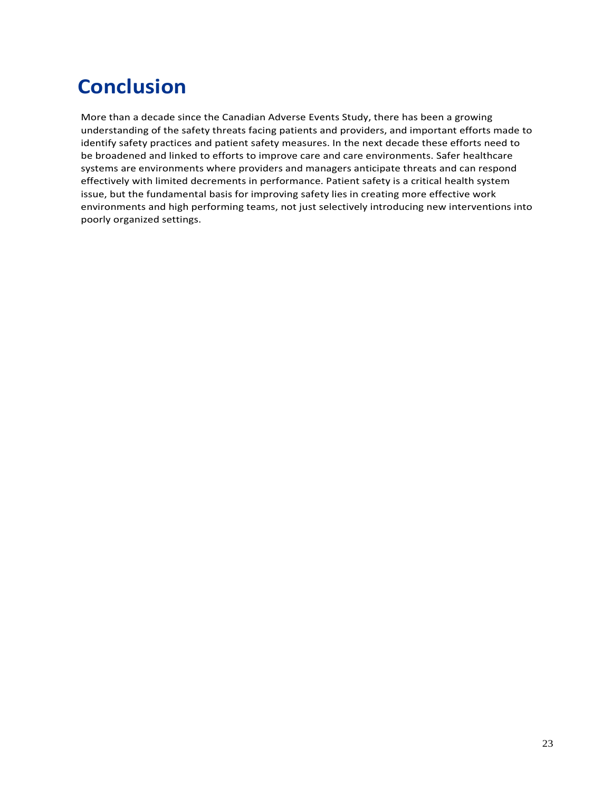# <span id="page-25-0"></span>**Conclusion**

More than a decade since the Canadian Adverse Events Study, there has been a growing understanding of the safety threats facing patients and providers, and important efforts made to identify safety practices and patient safety measures. In the next decade these efforts need to be broadened and linked to efforts to improve care and care environments. Safer healthcare systems are environments where providers and managers anticipate threats and can respond effectively with limited decrements in performance. Patient safety is a critical health system issue, but the fundamental basis for improving safety lies in creating more effective work environments and high performing teams, not just selectively introducing new interventions into poorly organized settings.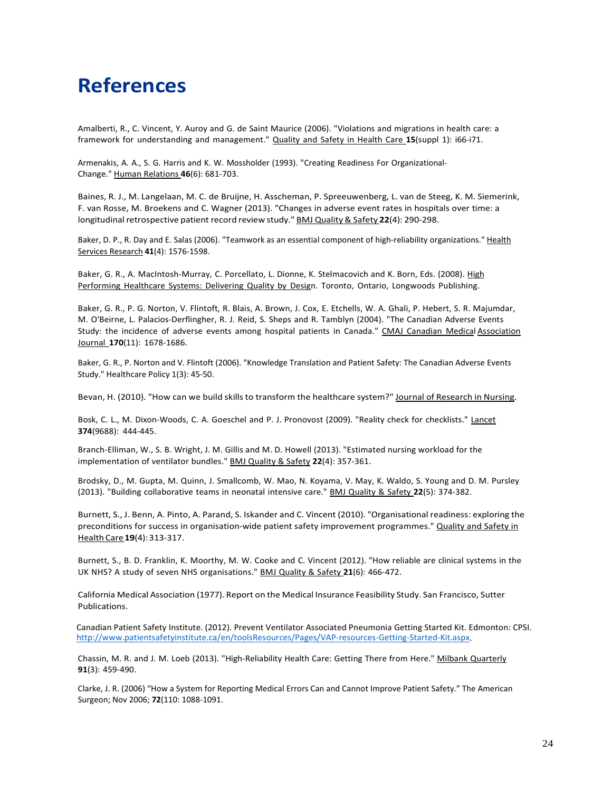### <span id="page-26-0"></span>**References**

Amalberti, R., C. Vincent, Y. Auroy and G. de Saint Maurice (2006). "Violations and migrations in health care: a framework for understanding and management." Quality and Safety in Health Care **15**(suppl 1): i66-i71.

Armenakis, A. A., S. G. Harris and K. W. Mossholder (1993). "Creating Readiness For Organizational-Change." Human Relations **46**(6): 681-703.

Baines, R. J., M. Langelaan, M. C. de Bruijne, H. Asscheman, P. Spreeuwenberg, L. van de Steeg, K. M. Siemerink, F. van Rosse, M. Broekens and C. Wagner (2013). "Changes in adverse event rates in hospitals over time: a longitudinal retrospective patient record review study." BMJ Quality& Safety **22**(4): 290-298.

Baker, D. P., R. Day and E. Salas (2006). "Teamwork as an essential component of high-reliability organizations." Health Services Research **41**(4): 1576-1598.

Baker, G. R., A. MacIntosh-Murray, C. Porcellato, L. Dionne, K. Stelmacovich and K. Born, Eds. (2008). High Performing Healthcare Systems: Delivering Quality by Design. Toronto, Ontario, Longwoods Publishing.

Baker, G. R., P. G. Norton, V. Flintoft, R. Blais, A. Brown, J. Cox, E. Etchells, W. A. Ghali, P. Hebert, S. R. Majumdar, M. O'Beirne, L. Palacios-Derflingher, R. J. Reid, S. Sheps and R. Tamblyn (2004). "The Canadian Adverse Events Study: the incidence of adverse events among hospital patients in Canada." CMAJ Canadian Medical Association Journal **170**(11): 1678-1686.

Baker, G. R., P. Norton and V. Flintoft (2006). "Knowledge Translation and Patient Safety: The Canadian Adverse Events Study." Healthcare Policy 1(3): 45-50.

Bevan, H. (2010). "How can we build skills to transform the healthcare system?" Journal of Research in Nursing.

Bosk, C. L., M. Dixon-Woods, C. A. Goeschel and P. J. Pronovost (2009). "Reality check for checklists." Lancet **374**(9688): 444-445.

Branch-Elliman, W., S. B. Wright, J. M. Gillis and M. D. Howell (2013). "Estimated nursing workload for the implementation of ventilator bundles." BMJ Quality & Safety **22**(4): 357-361.

Brodsky, D., M. Gupta, M. Quinn, J. Smallcomb, W. Mao, N. Koyama, V. May, K. Waldo, S. Young and D. M. Pursley (2013). "Building collaborative teams in neonatal intensive care." BMJ Quality & Safety **22**(5): 374-382.

Burnett, S., J. Benn, A. Pinto, A. Parand, S. Iskander and C. Vincent (2010). "Organisational readiness: exploring the preconditions for success in organisation-wide patient safety improvement programmes." Quality and Safety in HealthCare**19**(4):313-317.

Burnett, S., B. D. Franklin, K. Moorthy, M. W. Cooke and C. Vincent (2012). "How reliable are clinical systems in the UK NHS? A study of seven NHS organisations." BMJ Quality & Safety **21**(6): 466-472.

California Medical Association (1977). Report on the Medical Insurance Feasibility Study. San Francisco, Sutter Publications.

Canadian Patient Safety Institute. (2012). Prevent Ventilator Associated Pneumonia Getting Started Kit. Edmonton: CPSI. [http://www.patientsafetyinstitute.ca/en/toolsResources/Pages/VAP-resources-Getting-Started-Kit.aspx.](http://www.patientsafetyinstitute.ca/en/toolsResources/Pages/VAP-resources-Getting-Started-Kit.aspx)

Chassin, M. R. and J. M. Loeb (2013). "High-Reliability Health Care: Getting There from Here." Milbank Quarterly **91**(3): 459-490.

Clarke, J. R. (2006) "How a System for Reporting Medical Errors Can and Cannot Improve Patient Safety." The American Surgeon; Nov 2006; **72**(110: 1088-1091.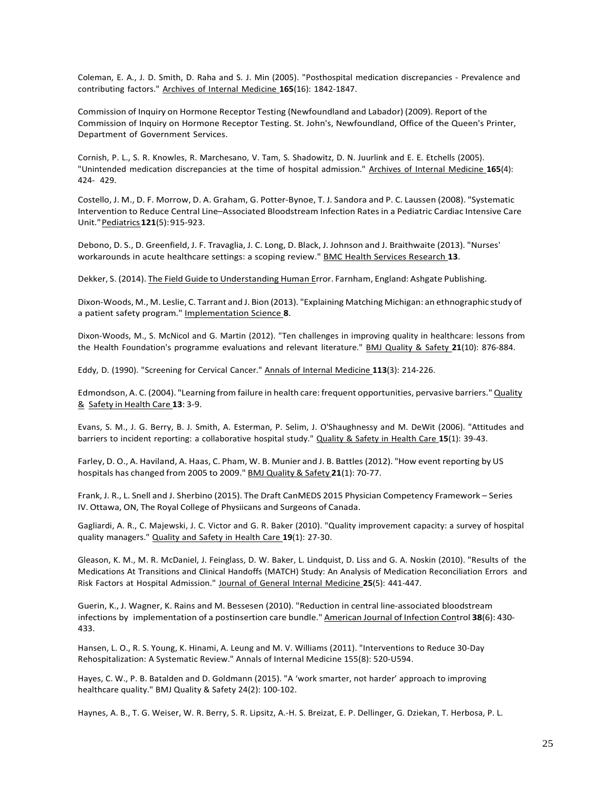Coleman, E. A., J. D. Smith, D. Raha and S. J. Min (2005). "Posthospital medication discrepancies - Prevalence and contributing factors." Archives of Internal Medicine **165**(16): 1842-1847.

Commission of Inquiry on Hormone Receptor Testing (Newfoundland and Labador) (2009). Report of the Commission of Inquiry on Hormone Receptor Testing. St. John's, Newfoundland, Office of the Queen's Printer, Department of Government Services.

Cornish, P. L., S. R. Knowles, R. Marchesano, V. Tam, S. Shadowitz, D. N. Juurlink and E. E. Etchells (2005). "Unintended medication discrepancies at the time of hospital admission." Archives of Internal Medicine **165**(4): 424- 429.

Costello, J. M., D. F. Morrow, D. A. Graham, G. Potter-Bynoe, T. J. Sandora and P. C. Laussen (2008). "Systematic Intervention to Reduce Central Line–Associated Bloodstream Infection Rates in a Pediatric Cardiac Intensive Care Unit."Pediatrics**121**(5):915-923.

Debono, D. S., D. Greenfield, J. F. Travaglia, J. C. Long, D. Black, J. Johnson and J. Braithwaite (2013). "Nurses' workarounds in acute healthcare settings: a scoping review." BMC Health Services Research **13**.

Dekker, S. (2014). The Field Guide to Understanding Human Error. Farnham, England: Ashgate Publishing.

Dixon-Woods, M., M. Leslie, C. Tarrant and J. Bion (2013). "Explaining Matching Michigan: an ethnographic study of a patient safety program." Implementation Science **8**.

Dixon-Woods, M., S. McNicol and G. Martin (2012). "Ten challenges in improving quality in healthcare: lessons from the Health Foundation's programme evaluations and relevant literature." BMJ Quality & Safety **21**(10): 876-884.

Eddy, D. (1990). "Screening for Cervical Cancer." Annals of Internal Medicine **113**(3): 214-226.

Edmondson, A. C. (2004). "Learning from failure in health care: frequent opportunities, pervasive barriers." Quality & Safety in Health Care **13**: 3-9.

Evans, S. M., J. G. Berry, B. J. Smith, A. Esterman, P. Selim, J. O'Shaughnessy and M. DeWit (2006). "Attitudes and barriers to incident reporting: a collaborative hospital study." Quality & Safety in Health Care **15**(1): 39-43.

Farley, D. O., A. Haviland, A. Haas, C. Pham, W. B. Munier and J. B. Battles (2012). "How event reporting by US hospitals has changed from 2005 to 2009." BMJ Quality & Safety **21**(1): 70-77.

Frank, J. R., L. Snell and J. Sherbino (2015). The Draft CanMEDS 2015 Physician Competency Framework – Series IV. Ottawa, ON, The Royal College of Physiicans and Surgeons of Canada.

Gagliardi, A. R., C. Majewski, J. C. Victor and G. R. Baker (2010). "Quality improvement capacity: a survey of hospital quality managers." Quality and Safety in Health Care **19**(1): 27-30.

Gleason, K. M., M. R. McDaniel, J. Feinglass, D. W. Baker, L. Lindquist, D. Liss and G. A. Noskin (2010). "Results of the Medications At Transitions and Clinical Handoffs (MATCH) Study: An Analysis of Medication Reconciliation Errors and Risk Factors at Hospital Admission." Journal of General Internal Medicine **25**(5): 441-447.

Guerin, K., J. Wagner, K. Rains and M. Bessesen (2010). "Reduction in central line-associated bloodstream infections by implementation of a postinsertion care bundle." American Journal of Infection Control **38**(6): 430- 433.

Hansen, L. O., R. S. Young, K. Hinami, A. Leung and M. V. Williams (2011). "Interventions to Reduce 30-Day Rehospitalization: A Systematic Review." Annals of Internal Medicine 155(8): 520-U594.

Hayes, C. W., P. B. Batalden and D. Goldmann (2015). "A 'work smarter, not harder' approach to improving healthcare quality." BMJ Quality & Safety 24(2): 100-102.

Haynes, A. B., T. G. Weiser, W. R. Berry, S. R. Lipsitz, A.-H. S. Breizat, E. P. Dellinger, G. Dziekan, T. Herbosa, P. L.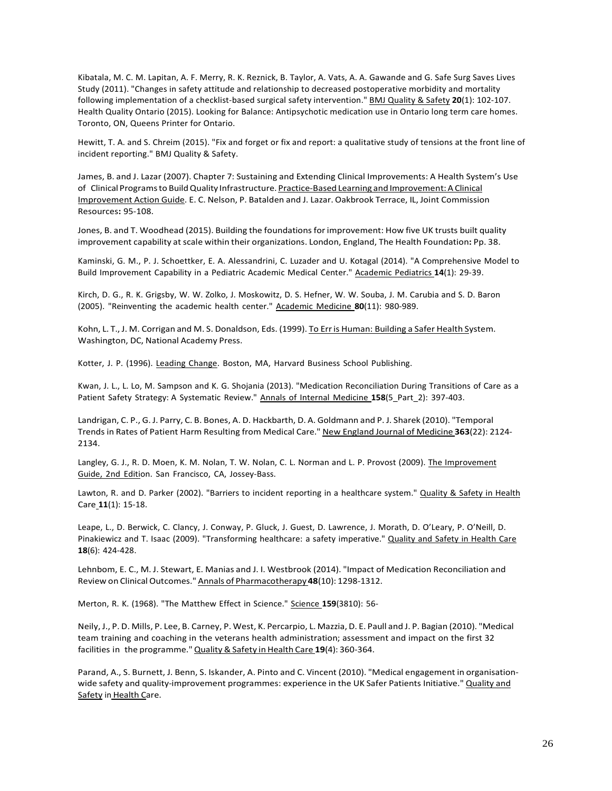Kibatala, M. C. M. Lapitan, A. F. Merry, R. K. Reznick, B. Taylor, A. Vats, A. A. Gawande and G. Safe Surg Saves Lives Study (2011). "Changes in safety attitude and relationship to decreased postoperative morbidity and mortality following implementation of a checklist-based surgical safety intervention." BMJ Quality & Safety **20**(1): 102-107. Health Quality Ontario (2015). Looking for Balance: Antipsychotic medication use in Ontario long term care homes. Toronto, ON, Queens Printer for Ontario.

Hewitt, T. A. and S. Chreim (2015). "Fix and forget or fix and report: a qualitative study of tensions at the front line of incident reporting." BMJ Quality & Safety.

James, B. and J. Lazar (2007). Chapter 7: Sustaining and Extending Clinical Improvements: A Health System's Use of Clinical Programs to Build Quality Infrastructure. Practice-Based Learning and Improvement: A Clinical Improvement Action Guide. E. C. Nelson, P. Batalden and J. Lazar. Oakbrook Terrace, IL, Joint Commission Resources**:** 95-108.

Jones, B. and T. Woodhead (2015). Building the foundations for improvement: How five UK trusts built quality improvement capability at scale within their organizations. London, England, The Health Foundation**:** Pp. 38.

Kaminski, G. M., P. J. Schoettker, E. A. Alessandrini, C. Luzader and U. Kotagal (2014). "A Comprehensive Model to Build Improvement Capability in a Pediatric Academic Medical Center." Academic Pediatrics **14**(1): 29-39.

Kirch, D. G., R. K. Grigsby, W. W. Zolko, J. Moskowitz, D. S. Hefner, W. W. Souba, J. M. Carubia and S. D. Baron (2005). "Reinventing the academic health center." Academic Medicine **80**(11): 980-989.

Kohn, L. T., J. M. Corrigan and M. S. Donaldson, Eds. (1999). To Err is Human: Building a Safer Health System. Washington, DC, National Academy Press.

Kotter, J. P. (1996). Leading Change. Boston, MA, Harvard Business School Publishing.

Kwan, J. L., L. Lo, M. Sampson and K. G. Shojania (2013). "Medication Reconciliation During Transitions of Care as a Patient Safety Strategy: A Systematic Review." Annals of Internal Medicine **158**(5\_Part\_2): 397-403.

Landrigan, C. P., G. J. Parry, C. B. Bones, A. D. Hackbarth, D. A. Goldmann and P. J. Sharek (2010). "Temporal Trends in Rates of Patient Harm Resulting from Medical Care." New England Journal of Medicine **363**(22): 2124- 2134.

Langley, G. J., R. D. Moen, K. M. Nolan, T. W. Nolan, C. L. Norman and L. P. Provost (2009). The Improvement Guide, 2nd Edition. San Francisco, CA, Jossey-Bass.

Lawton, R. and D. Parker (2002). "Barriers to incident reporting in a healthcare system." Quality & Safety in Health Care **11**(1): 15-18.

Leape, L., D. Berwick, C. Clancy, J. Conway, P. Gluck, J. Guest, D. Lawrence, J. Morath, D. O'Leary, P. O'Neill, D. Pinakiewicz and T. Isaac (2009). "Transforming healthcare: a safety imperative." Quality and Safety in Health Care **18**(6): 424-428.

Lehnbom, E. C., M. J. Stewart, E. Manias and J. I. Westbrook (2014). "Impact of Medication Reconciliation and Review on Clinical Outcomes." Annals of Pharmacotherapy **48**(10): 1298-1312.

Merton, R. K. (1968). "The Matthew Effect in Science." Science **159**(3810): 56-

Neily, J., P. D. Mills, P. Lee, B. Carney, P. West, K. Percarpio, L. Mazzia, D. E. Paull and J. P. Bagian (2010). "Medical team training and coaching in the veterans health administration; assessment and impact on the first 32 facilities in the programme."Quality& Safety in Health Care **19**(4): 360-364.

Parand, A., S. Burnett, J. Benn, S. Iskander, A. Pinto and C. Vincent (2010). "Medical engagement in organisationwide safety and quality-improvement programmes: experience in the UK Safer Patients Initiative." Quality and Safety in Health Care.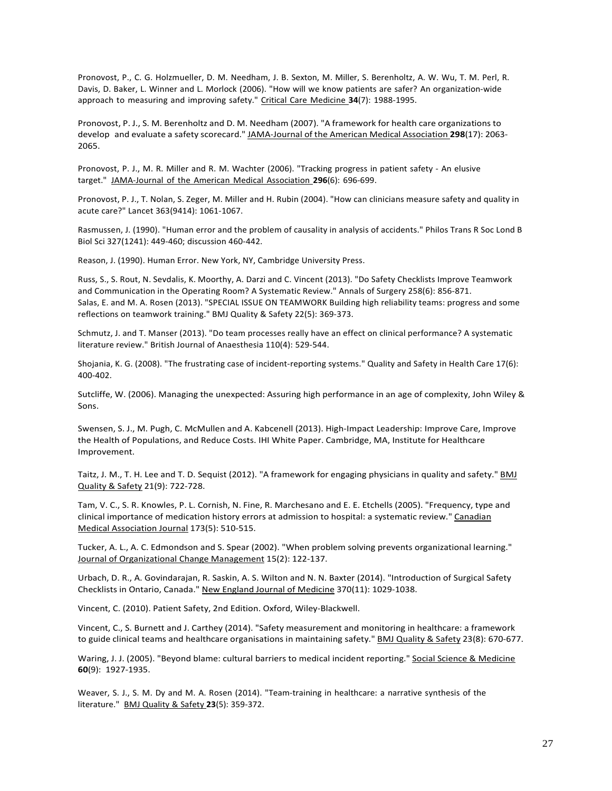Pronovost, P., C. G. Holzmueller, D. M. Needham, J. B. Sexton, M. Miller, S. Berenholtz, A. W. Wu, T. M. Perl, R. Davis, D. Baker, L. Winner and L. Morlock (2006). "How will we know patients are safer? An organization-wide approach to measuring and improving safety." Critical Care Medicine **34**(7): 1988-1995.

Pronovost, P. J., S. M. Berenholtz and D. M. Needham (2007). "A framework for health care organizations to develop and evaluate a safety scorecard." JAMA-Journal of the American Medical Association **298**(17): 2063- 2065.

Pronovost, P. J., M. R. Miller and R. M. Wachter (2006). "Tracking progress in patient safety - An elusive target." JAMA-Journal of the American Medical Association **296**(6): 696-699.

Pronovost, P. J., T. Nolan, S. Zeger, M. Miller and H. Rubin (2004). "How can clinicians measure safety and quality in acute care?" Lancet 363(9414): 1061-1067.

Rasmussen, J. (1990). "Human error and the problem of causality in analysis of accidents." Philos Trans R Soc Lond B Biol Sci 327(1241): 449-460; discussion 460-442.

Reason, J. (1990). Human Error. New York, NY, Cambridge University Press.

Russ, S., S. Rout, N. Sevdalis, K. Moorthy, A. Darzi and C. Vincent (2013). "Do Safety Checklists Improve Teamwork and Communication in the Operating Room? A Systematic Review." Annals of Surgery 258(6): 856-871. Salas, E. and M. A. Rosen (2013). "SPECIAL ISSUE ON TEAMWORK Building high reliability teams: progress and some reflections on teamwork training." BMJ Quality & Safety 22(5): 369-373.

Schmutz, J. and T. Manser (2013). "Do team processes really have an effect on clinical performance? A systematic literature review." British Journal of Anaesthesia 110(4): 529-544.

Shojania, K. G. (2008). "The frustrating case of incident-reporting systems." Quality and Safety in Health Care 17(6): 400-402.

Sutcliffe, W. (2006). Managing the unexpected: Assuring high performance in an age of complexity, John Wiley & Sons.

Swensen, S. J., M. Pugh, C. McMullen and A. Kabcenell (2013). High-Impact Leadership: Improve Care, Improve the Health of Populations, and Reduce Costs. IHI White Paper. Cambridge, MA, Institute for Healthcare Improvement.

Taitz, J. M., T. H. Lee and T. D. Sequist (2012). "A framework for engaging physicians in quality and safety." BMJ Quality & Safety 21(9): 722-728.

Tam, V. C., S. R. Knowles, P. L. Cornish, N. Fine, R. Marchesano and E. E. Etchells (2005). "Frequency, type and clinical importance of medication history errors at admission to hospital: a systematic review." Canadian Medical Association Journal 173(5): 510-515.

Tucker, A. L., A. C. Edmondson and S. Spear (2002). "When problem solving prevents organizational learning." Journal of Organizational Change Management 15(2): 122-137.

Urbach, D. R., A. Govindarajan, R. Saskin, A. S. Wilton and N. N. Baxter (2014). "Introduction of Surgical Safety Checklists in Ontario, Canada." New England Journal of Medicine 370(11): 1029-1038.

Vincent, C. (2010). Patient Safety, 2nd Edition. Oxford, Wiley-Blackwell.

Vincent, C., S. Burnett and J. Carthey (2014). "Safety measurement and monitoring in healthcare: a framework to guide clinical teams and healthcare organisations in maintaining safety." BMJ Quality & Safety 23(8): 670-677.

Waring, J. J. (2005). "Beyond blame: cultural barriers to medical incident reporting." Social Science & Medicine **60**(9): 1927-1935.

Weaver, S. J., S. M. Dy and M. A. Rosen (2014). "Team-training in healthcare: a narrative synthesis of the literature." BMJ Quality & Safety **23**(5): 359-372.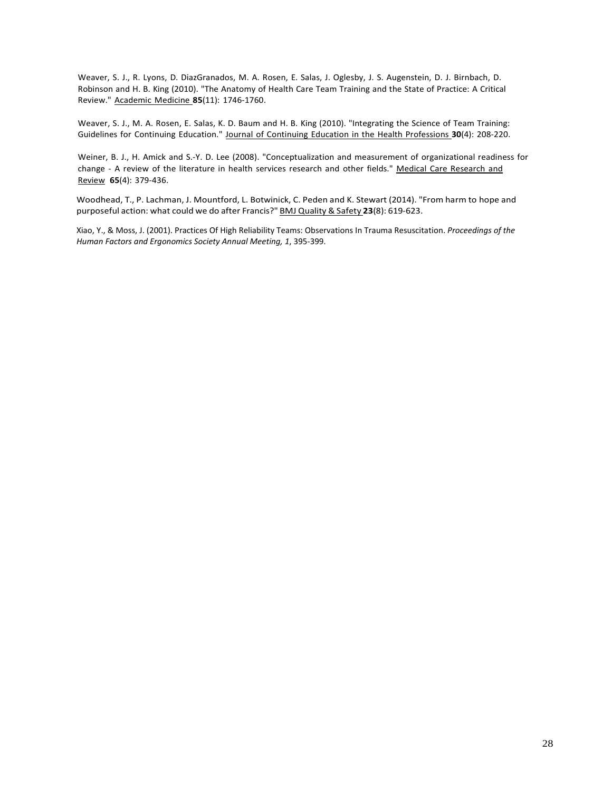Weaver, S. J., R. Lyons, D. DiazGranados, M. A. Rosen, E. Salas, J. Oglesby, J. S. Augenstein, D. J. Birnbach, D. Robinson and H. B. King (2010). "The Anatomy of Health Care Team Training and the State of Practice: A Critical Review." Academic Medicine **85**(11): 1746-1760.

Weaver, S. J., M. A. Rosen, E. Salas, K. D. Baum and H. B. King (2010). "Integrating the Science of Team Training: Guidelines for Continuing Education." Journal of Continuing Education in the Health Professions **30**(4): 208-220.

Weiner, B. J., H. Amick and S.-Y. D. Lee (2008). "Conceptualization and measurement of organizational readiness for change - A review of the literature in health services research and other fields." Medical Care Research and Review **65**(4): 379-436.

Woodhead, T., P. Lachman, J. Mountford, L. Botwinick, C. Peden and K. Stewart (2014). "From harm to hope and purposeful action: what could we do after Francis?" BMJ Quality & Safety **23**(8): 619-623.

Xiao, Y., & Moss, J. (2001). Practices Of High Reliability Teams: Observations In Trauma Resuscitation. *Proceedings of the Human Factors and Ergonomics Society Annual Meeting, 1*, 395-399.